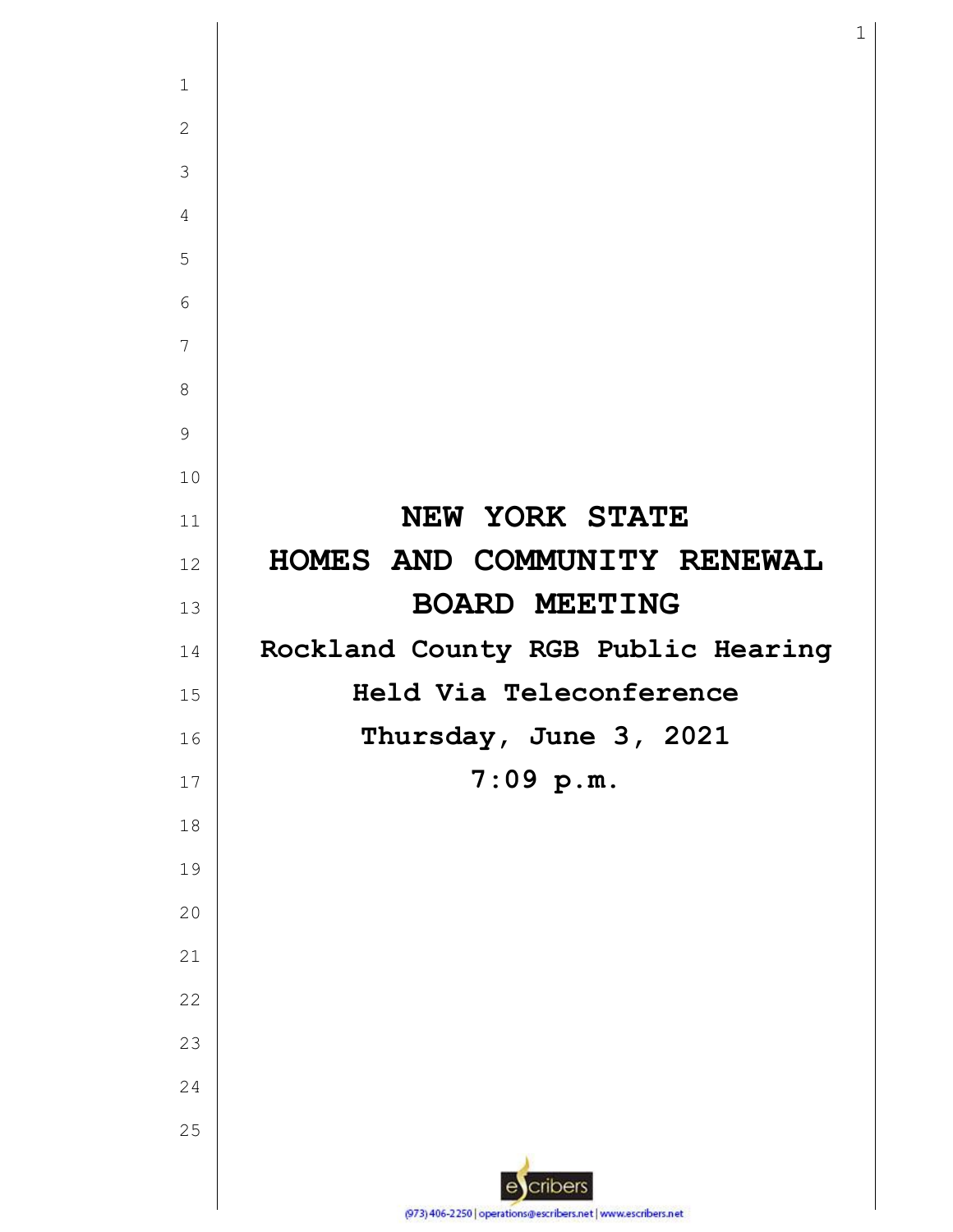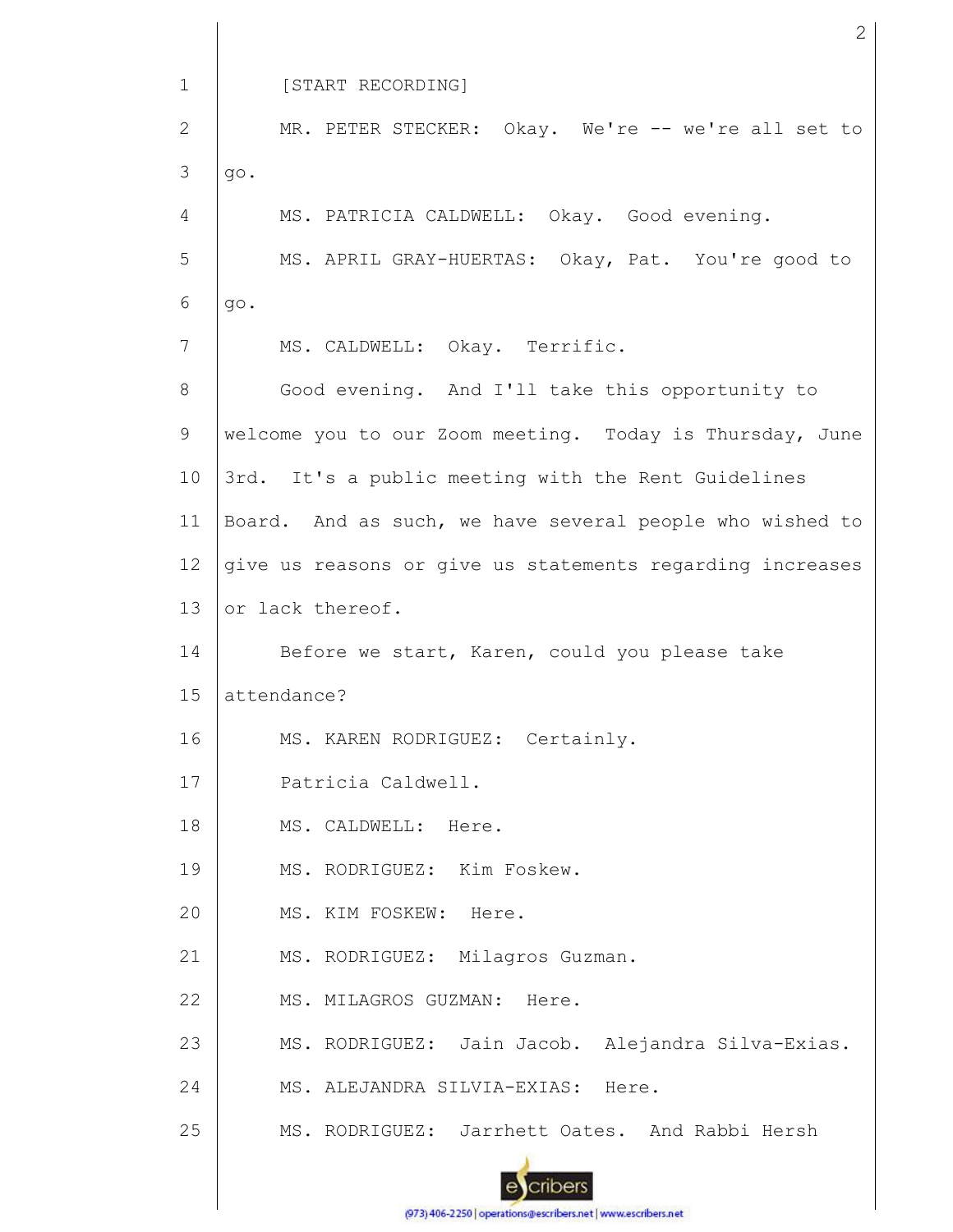1 2 3 4 5 6 7 8 9 10 11 12 13 14 15 16 17 18 19 20 21 22 23 24 [START RECORDING] MR. PETER STECKER: Okay. We're -- we're all set to go. MS. PATRICIA CALDWELL: Okay. Good evening. MS. APRIL GRAY-HUERTAS: Okay, Pat. You're good to go. MS. CALDWELL: Okay. Terrific. Good evening. And I'll take this opportunity to welcome you to our Zoom meeting. Today is Thursday, June 3rd. It's a public meeting with the Rent Guidelines Board. And as such, we have several people who wished to give us reasons or give us statements regarding increases or lack thereof. Before we start, Karen, could you please take attendance? MS. KAREN RODRIGUEZ: Certainly. Patricia Caldwell. MS. CALDWELL: Here. MS. RODRIGUEZ: Kim Foskew. MS. KIM FOSKEW: Here. MS. RODRIGUEZ: Milagros Guzman. MS. MILAGROS GUZMAN: Here. MS. RODRIGUEZ: Jain Jacob. Alejandra Silva-Exias. MS. ALEJANDRA SILVIA-EXIAS: Here.

2

25



MS. RODRIGUEZ: Jarrhett Oates. And Rabbi Hersh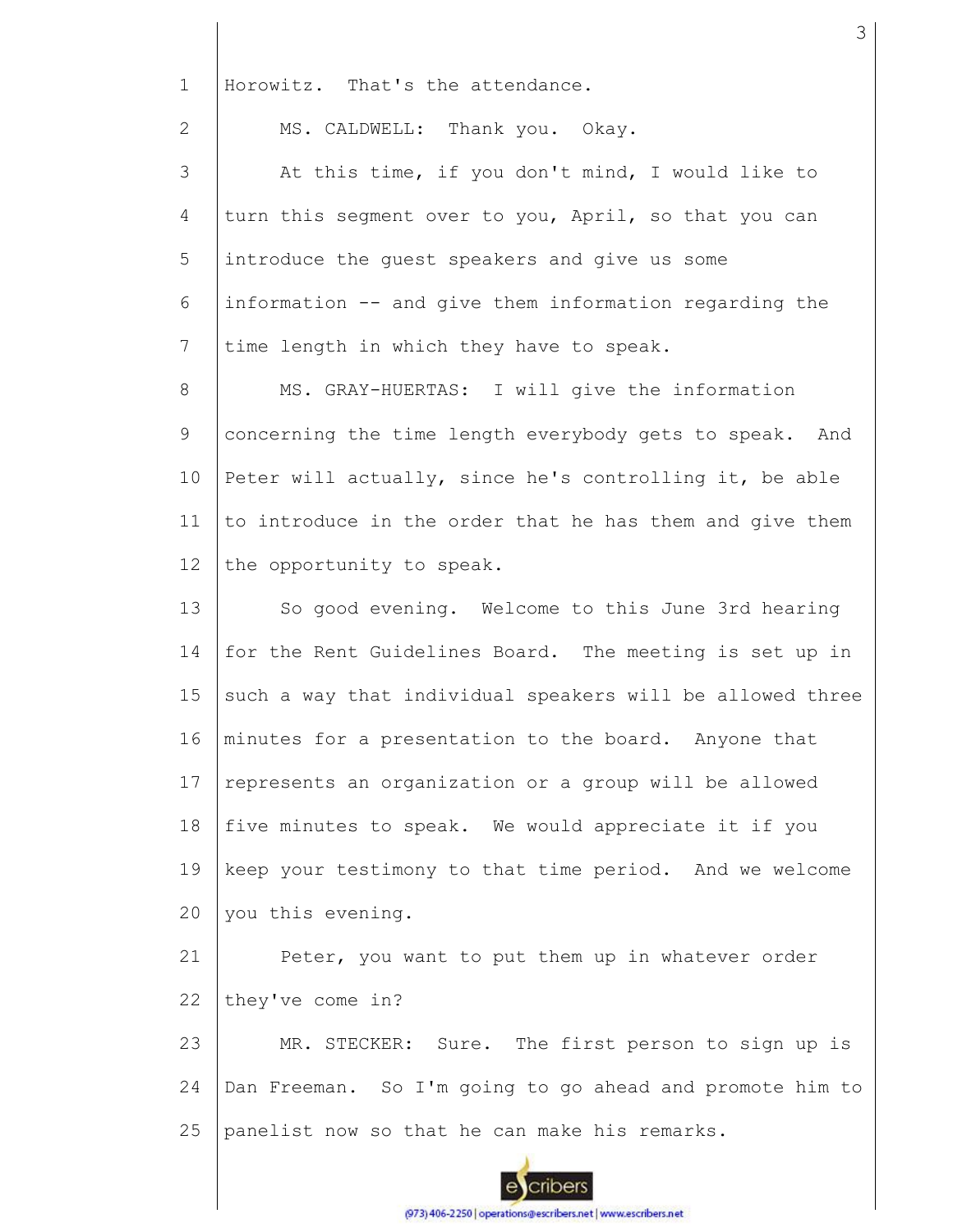1 Horowitz. That's the attendance.

2 3 4 5 6 7 8 9 10 11 12 13 14 15 16 17 18 19 20 21 22 23 24 MS. CALDWELL: Thank you. Okay. At this time, if you don't mind, I would like to turn this segment over to you, April, so that you can introduce the guest speakers and give us some information -- and give them information regarding the time length in which they have to speak. MS. GRAY-HUERTAS: I will give the information concerning the time length everybody gets to speak. And Peter will actually, since he's controlling it, be able to introduce in the order that he has them and give them the opportunity to speak. So good evening. Welcome to this June 3rd hearing for the Rent Guidelines Board. The meeting is set up in such a way that individual speakers will be allowed three minutes for a presentation to the board. Anyone that represents an organization or a group will be allowed five minutes to speak. We would appreciate it if you keep your testimony to that time period. And we welcome you this evening. Peter, you want to put them up in whatever order they've come in? MR. STECKER: Sure. The first person to sign up is Dan Freeman. So I'm going to go ahead and promote him to

25 panelist now so that he can make his remarks.

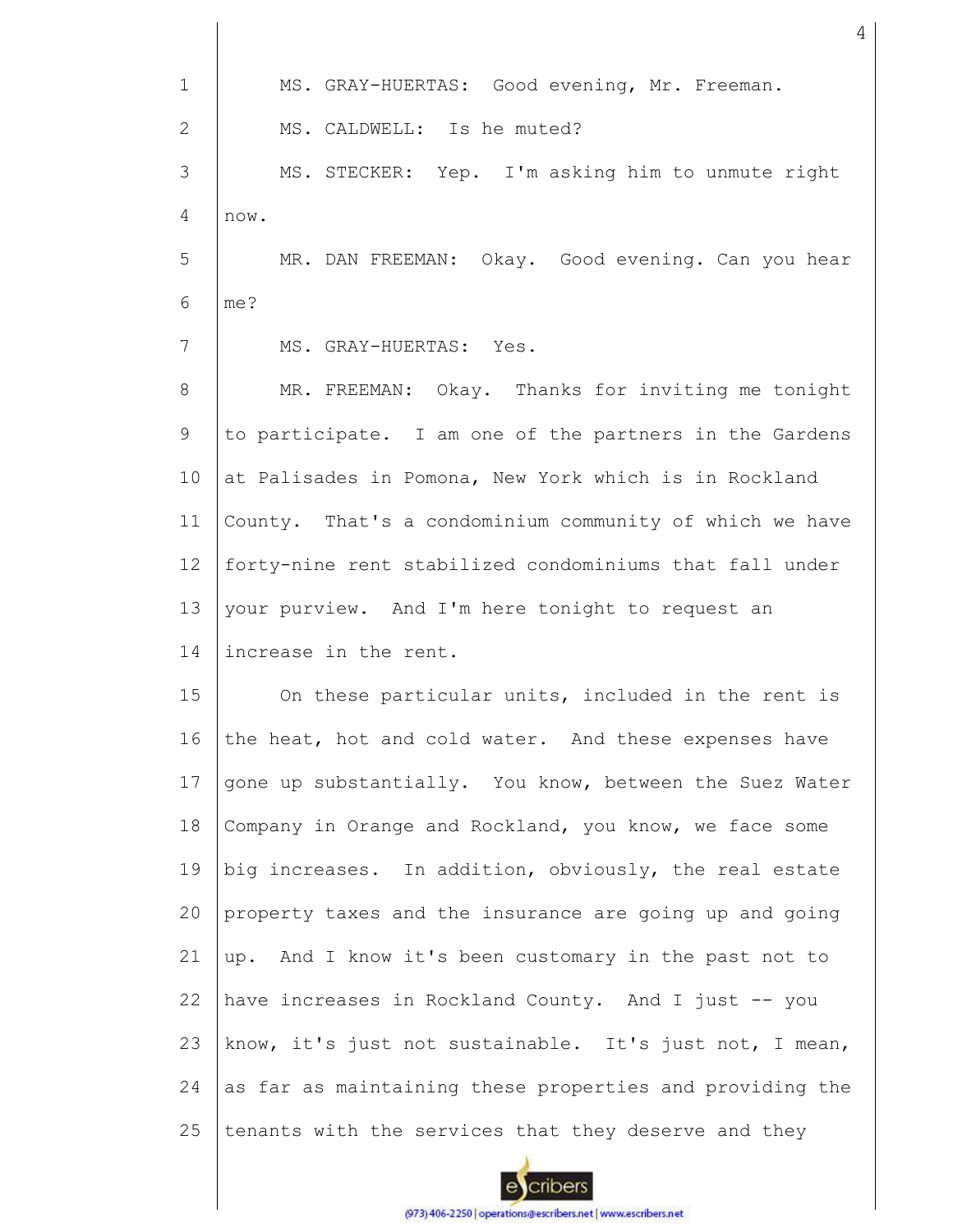| $\mathbf{1}$ | MS. GRAY-HUERTAS: Good evening, Mr. Freeman.             |  |  |  |  |  |
|--------------|----------------------------------------------------------|--|--|--|--|--|
| 2            | MS. CALDWELL: Is he muted?                               |  |  |  |  |  |
| 3            | MS. STECKER: Yep. I'm asking him to unmute right         |  |  |  |  |  |
| 4            | now.                                                     |  |  |  |  |  |
| 5            | MR. DAN FREEMAN: Okay. Good evening. Can you hear        |  |  |  |  |  |
| 6            | me?                                                      |  |  |  |  |  |
| 7            | MS. GRAY-HUERTAS: Yes.                                   |  |  |  |  |  |
| 8            | MR. FREEMAN: Okay. Thanks for inviting me tonight        |  |  |  |  |  |
| 9            | to participate. I am one of the partners in the Gardens  |  |  |  |  |  |
| 10           | at Palisades in Pomona, New York which is in Rockland    |  |  |  |  |  |
| 11           | County. That's a condominium community of which we have  |  |  |  |  |  |
| 12           | forty-nine rent stabilized condominiums that fall under  |  |  |  |  |  |
| 13           | your purview. And I'm here tonight to request an         |  |  |  |  |  |
| 14           | increase in the rent.                                    |  |  |  |  |  |
| 15           | On these particular units, included in the rent is       |  |  |  |  |  |
| 16           | the heat, hot and cold water. And these expenses have    |  |  |  |  |  |
| 17           | gone up substantially. You know, between the Suez Water  |  |  |  |  |  |
| 18           | Company in Orange and Rockland, you know, we face some   |  |  |  |  |  |
| 19           | big increases. In addition, obviously, the real estate   |  |  |  |  |  |
| 20           | property taxes and the insurance are going up and going  |  |  |  |  |  |
| 21           | up. And I know it's been customary in the past not to    |  |  |  |  |  |
| 22           | have increases in Rockland County. And I just -- you     |  |  |  |  |  |
| 23           | know, it's just not sustainable. It's just not, I mean,  |  |  |  |  |  |
| 24           | as far as maintaining these properties and providing the |  |  |  |  |  |
| 25           | tenants with the services that they deserve and they     |  |  |  |  |  |
|              |                                                          |  |  |  |  |  |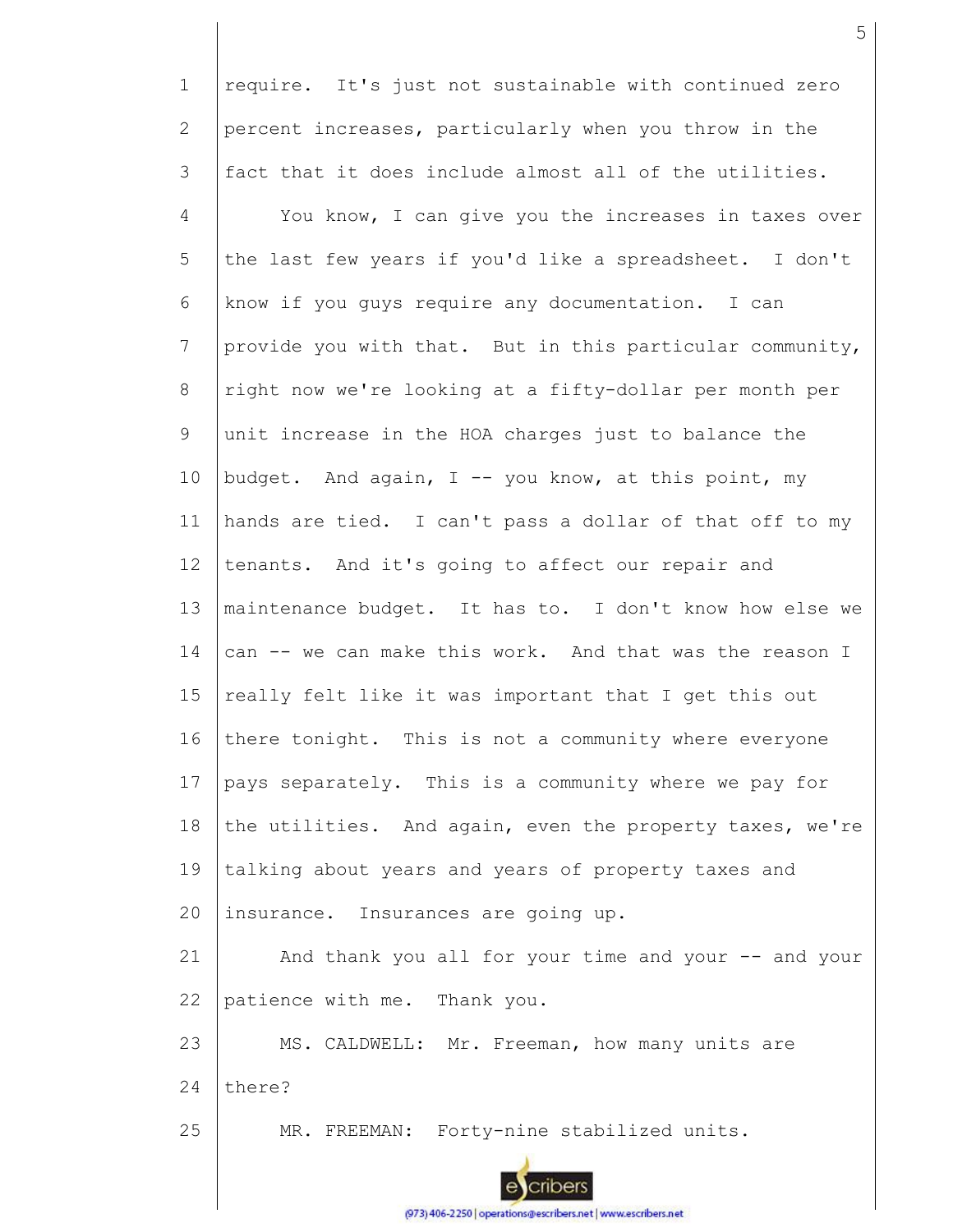1 require. It's just not sustainable with continued zero 2 percent increases, particularly when you throw in the 3 fact that it does include almost all of the utilities. 4 You know, I can give you the increases in taxes over 5 the last few years if you'd like a spreadsheet. I don't 6 know if you guys require any documentation. I can 7 provide you with that. But in this particular community, 8 right now we're looking at a fifty-dollar per month per 9 unit increase in the HOA charges just to balance the 10 budget. And again,  $I - -$  you know, at this point, my 11 hands are tied. I can't pass a dollar of that off to my 12 tenants. And it's going to affect our repair and 13 maintenance budget. It has to. I don't know how else we 14 can -- we can make this work. And that was the reason I 15 really felt like it was important that I get this out 16 there tonight. This is not a community where everyone 17 pays separately. This is a community where we pay for 18 the utilities. And again, even the property taxes, we're 19 talking about years and years of property taxes and 20 insurance. Insurances are going up. 21 And thank you all for your time and your -- and your 22 patience with me. Thank you. 23 MS. CALDWELL: Mr. Freeman, how many units are 24 there? 25 MR. FREEMAN: Forty-nine stabilized units. cribers

5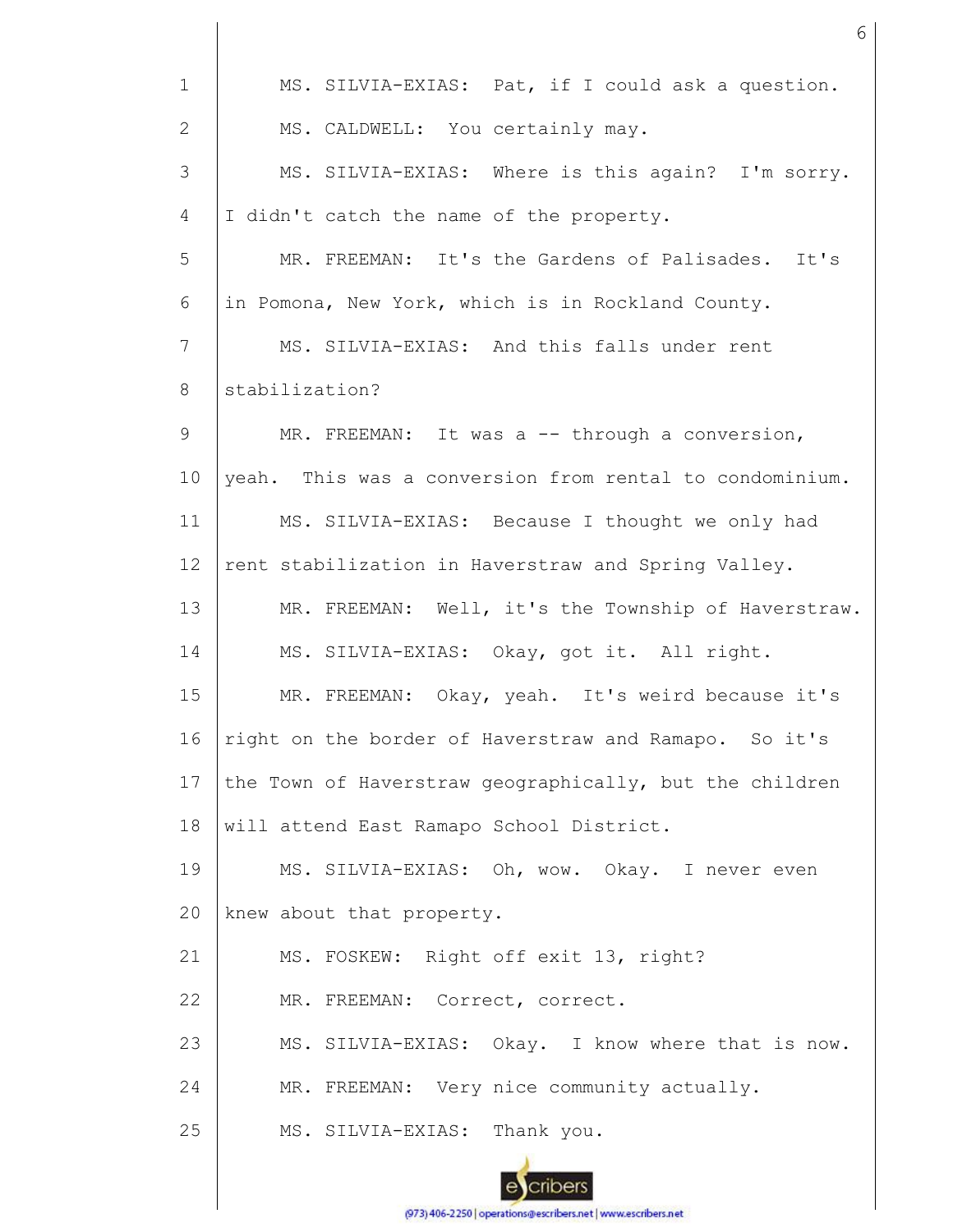| $\mathbf{1}$ | MS. SILVIA-EXIAS: Pat, if I could ask a question.       |  |  |  |  |  |
|--------------|---------------------------------------------------------|--|--|--|--|--|
| $\mathbf{2}$ | MS. CALDWELL: You certainly may.                        |  |  |  |  |  |
| 3            | MS. SILVIA-EXIAS: Where is this again? I'm sorry.       |  |  |  |  |  |
| 4            | I didn't catch the name of the property.                |  |  |  |  |  |
| 5            | MR. FREEMAN: It's the Gardens of Palisades. It's        |  |  |  |  |  |
| 6            | in Pomona, New York, which is in Rockland County.       |  |  |  |  |  |
| 7            | MS. SILVIA-EXIAS: And this falls under rent             |  |  |  |  |  |
| 8            | stabilization?                                          |  |  |  |  |  |
| 9            | MR. FREEMAN: It was a -- through a conversion,          |  |  |  |  |  |
| 10           | yeah. This was a conversion from rental to condominium. |  |  |  |  |  |
| 11           | MS. SILVIA-EXIAS: Because I thought we only had         |  |  |  |  |  |
| 12           | rent stabilization in Haverstraw and Spring Valley.     |  |  |  |  |  |
| 13           | MR. FREEMAN: Well, it's the Township of Haverstraw.     |  |  |  |  |  |
| 14           | MS. SILVIA-EXIAS: Okay, got it. All right.              |  |  |  |  |  |
| 15           | MR. FREEMAN: Okay, yeah. It's weird because it's        |  |  |  |  |  |
| 16           | right on the border of Haverstraw and Ramapo. So it's   |  |  |  |  |  |
| 17           | the Town of Haverstraw geographically, but the children |  |  |  |  |  |
| 18           | will attend East Ramapo School District.                |  |  |  |  |  |
| 19           | MS. SILVIA-EXIAS: Oh, wow. Okay. I never even           |  |  |  |  |  |
| 20           | knew about that property.                               |  |  |  |  |  |
| 21           | MS. FOSKEW: Right off exit 13, right?                   |  |  |  |  |  |
| 22           | MR. FREEMAN: Correct, correct.                          |  |  |  |  |  |
| 23           | MS. SILVIA-EXIAS: Okay. I know where that is now.       |  |  |  |  |  |
| 24           | MR. FREEMAN: Very nice community actually.              |  |  |  |  |  |
| 25           | MS. SILVIA-EXIAS: Thank you.                            |  |  |  |  |  |
|              |                                                         |  |  |  |  |  |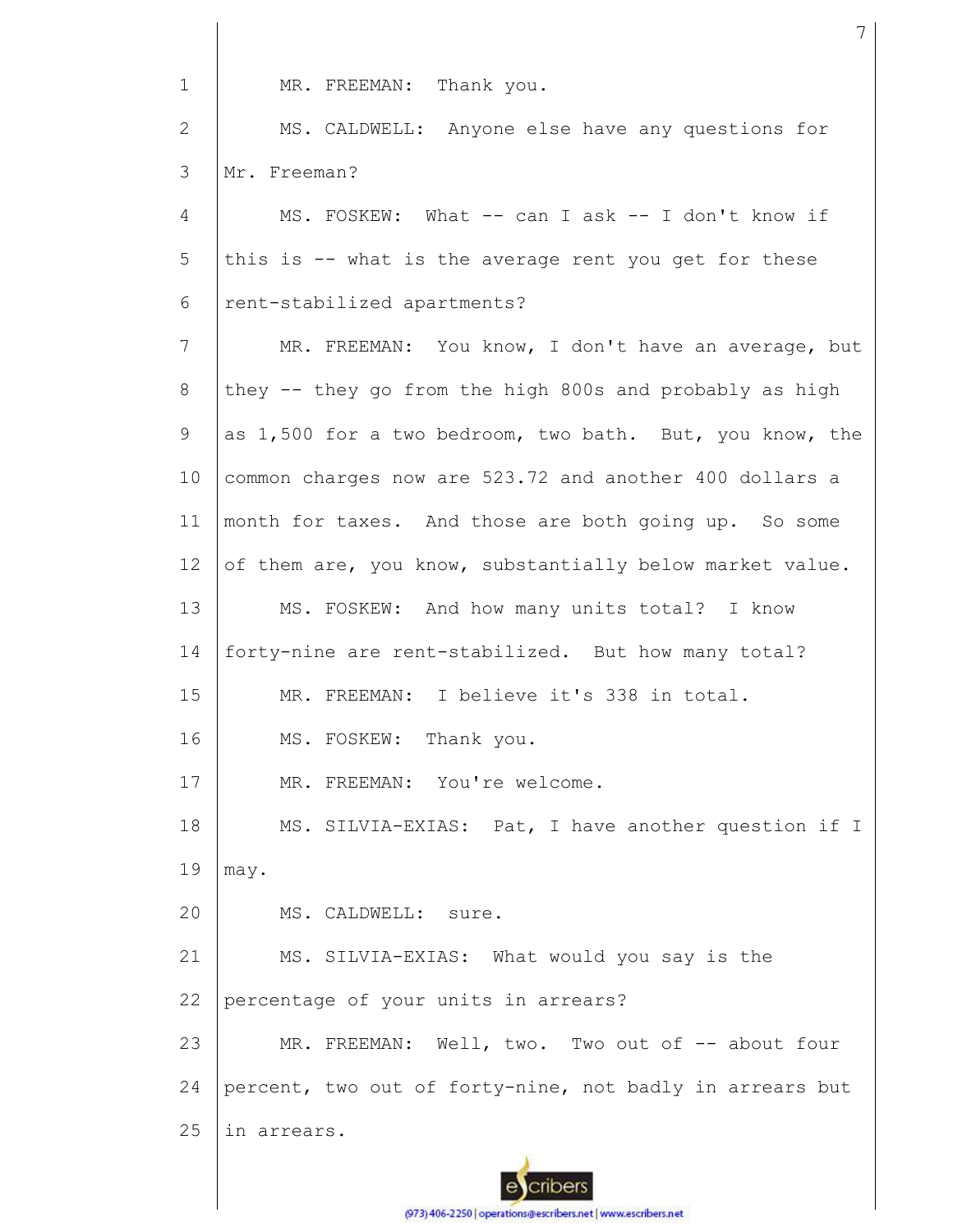MR. FREEMAN: Thank you.

1

2 3 MS. CALDWELL: Anyone else have any questions for Mr. Freeman?

4 5 6  $MS. FOSKEW: What = - can I ask -I don't know if$ this is -- what is the average rent you get for these rent-stabilized apartments?

7 8 9 10 11 12 13 14 15 16 17 18 19 20 21 22 23 24 25 MR. FREEMAN: You know, I don't have an average, but they -- they go from the high 800s and probably as high as 1,500 for a two bedroom, two bath. But, you know, the common charges now are 523.72 and another 400 dollars a month for taxes. And those are both going up. So some of them are, you know, substantially below market value. MS. FOSKEW: And how many units total? I know forty-nine are rent-stabilized. But how many total? MR. FREEMAN: I believe it's 338 in total. MS. FOSKEW: Thank you. MR. FREEMAN: You're welcome. MS. SILVIA-EXIAS: Pat, I have another question if I may. MS. CALDWELL: sure. MS. SILVIA-EXIAS: What would you say is the percentage of your units in arrears? MR. FREEMAN: Well, two. Two out of -- about four percent, two out of forty-nine, not badly in arrears but in arrears.



(973) 406-2250 | operations@escribers.net | www.escribers.net

7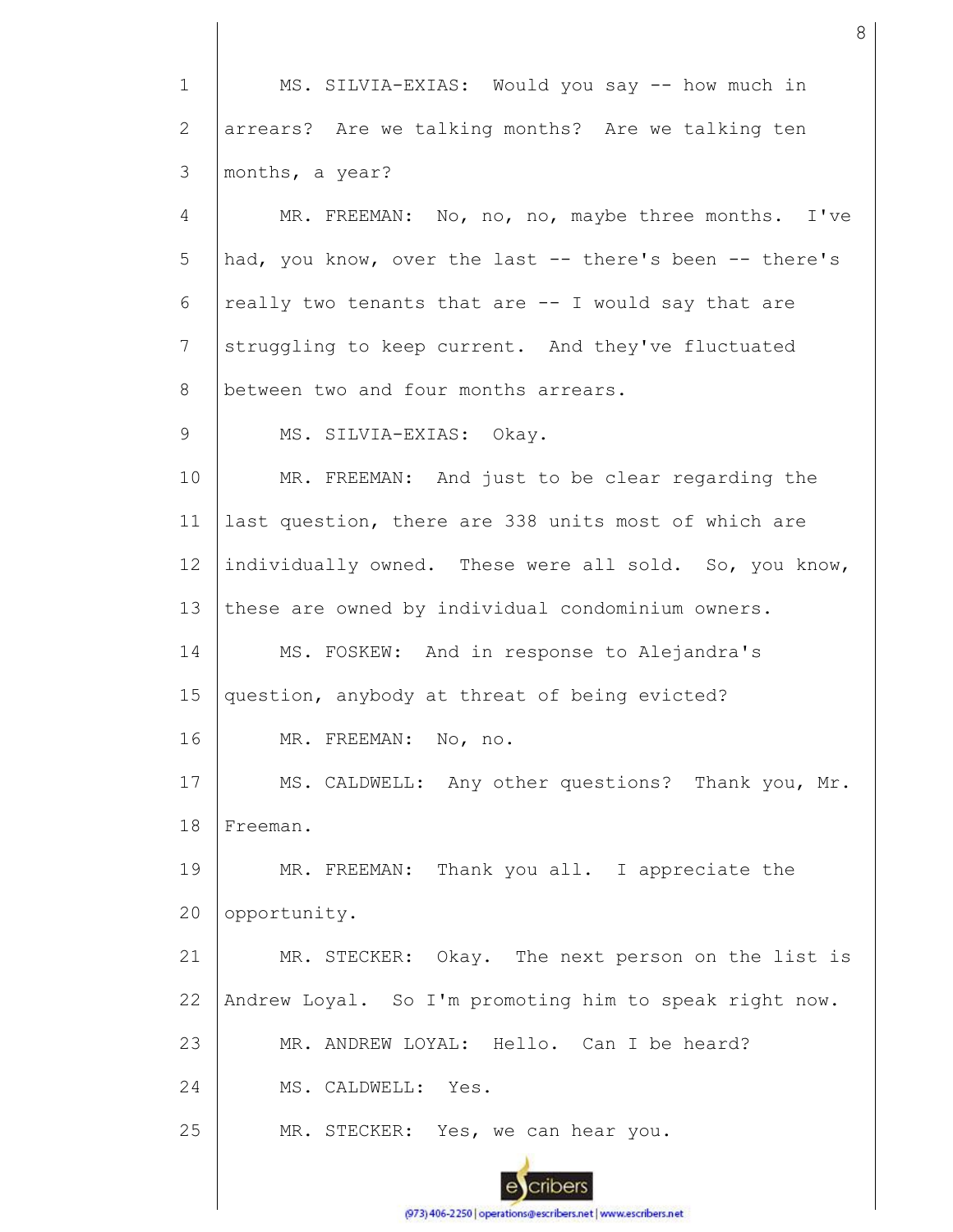1 2 3 MS. SILVIA-EXIAS: Would you say -- how much in arrears? Are we talking months? Are we talking ten months, a year?

4 5 6 7 8 MR. FREEMAN: No, no, no, maybe three months. I've had, you know, over the last -- there's been -- there's really two tenants that are -- I would say that are struggling to keep current. And they've fluctuated between two and four months arrears.

9 MS. SILVIA-EXIAS: Okay.

10 11 12 13 14 MR. FREEMAN: And just to be clear regarding the last question, there are 338 units most of which are individually owned. These were all sold. So, you know, these are owned by individual condominium owners. MS. FOSKEW: And in response to Alejandra's

15 question, anybody at threat of being evicted?

16 MR. FREEMAN: No, no.

17 18 MS. CALDWELL: Any other questions? Thank you, Mr. Freeman.

19 20 MR. FREEMAN: Thank you all. I appreciate the opportunity.

21 22 23 MR. STECKER: Okay. The next person on the list is Andrew Loyal. So I'm promoting him to speak right now. MR. ANDREW LOYAL: Hello. Can I be heard?

24 MS. CALDWELL: Yes.

25 MR. STECKER: Yes, we can hear you.

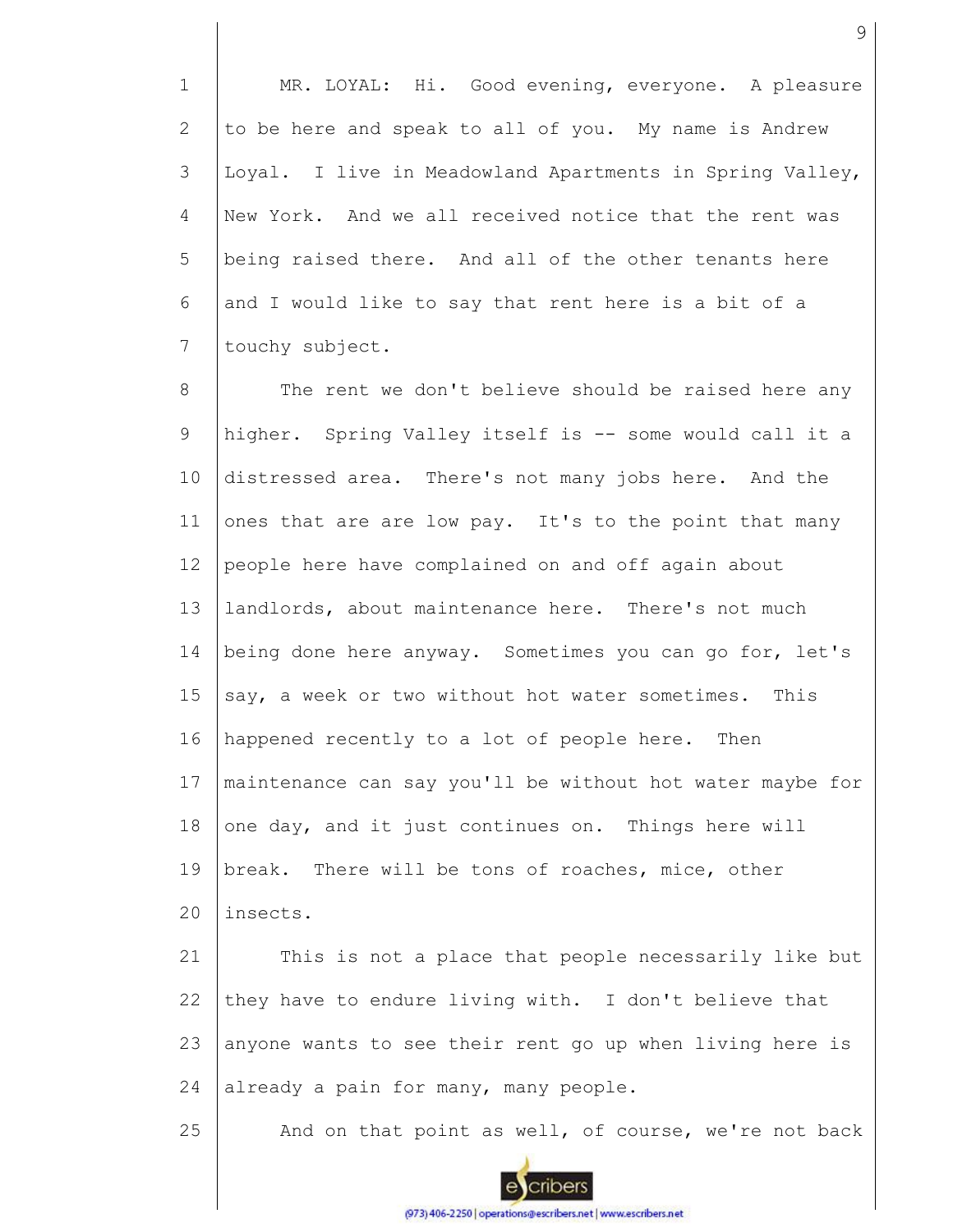1 2 3 4 5 6 7 MR. LOYAL: Hi. Good evening, everyone. A pleasure to be here and speak to all of you. My name is Andrew Loyal. I live in Meadowland Apartments in Spring Valley, New York. And we all received notice that the rent was being raised there. And all of the other tenants here and I would like to say that rent here is a bit of a touchy subject.

8 9 10 11 12 13 14 15 16 17 18 19  $20$ The rent we don't believe should be raised here any higher. Spring Valley itself is -- some would call it a distressed area. There's not many jobs here. And the ones that are are low pay. It's to the point that many people here have complained on and off again about landlords, about maintenance here. There's not much being done here anyway. Sometimes you can go for, let's say, a week or two without hot water sometimes. This happened recently to a lot of people here. Then maintenance can say you'll be without hot water maybe for one day, and it just continues on. Things here will break. There will be tons of roaches, mice, other insects.

21 22 23 24 This is not a place that people necessarily like but they have to endure living with. I don't believe that anyone wants to see their rent go up when living here is already a pain for many, many people.

25 And on that point as well, of course, we're not back

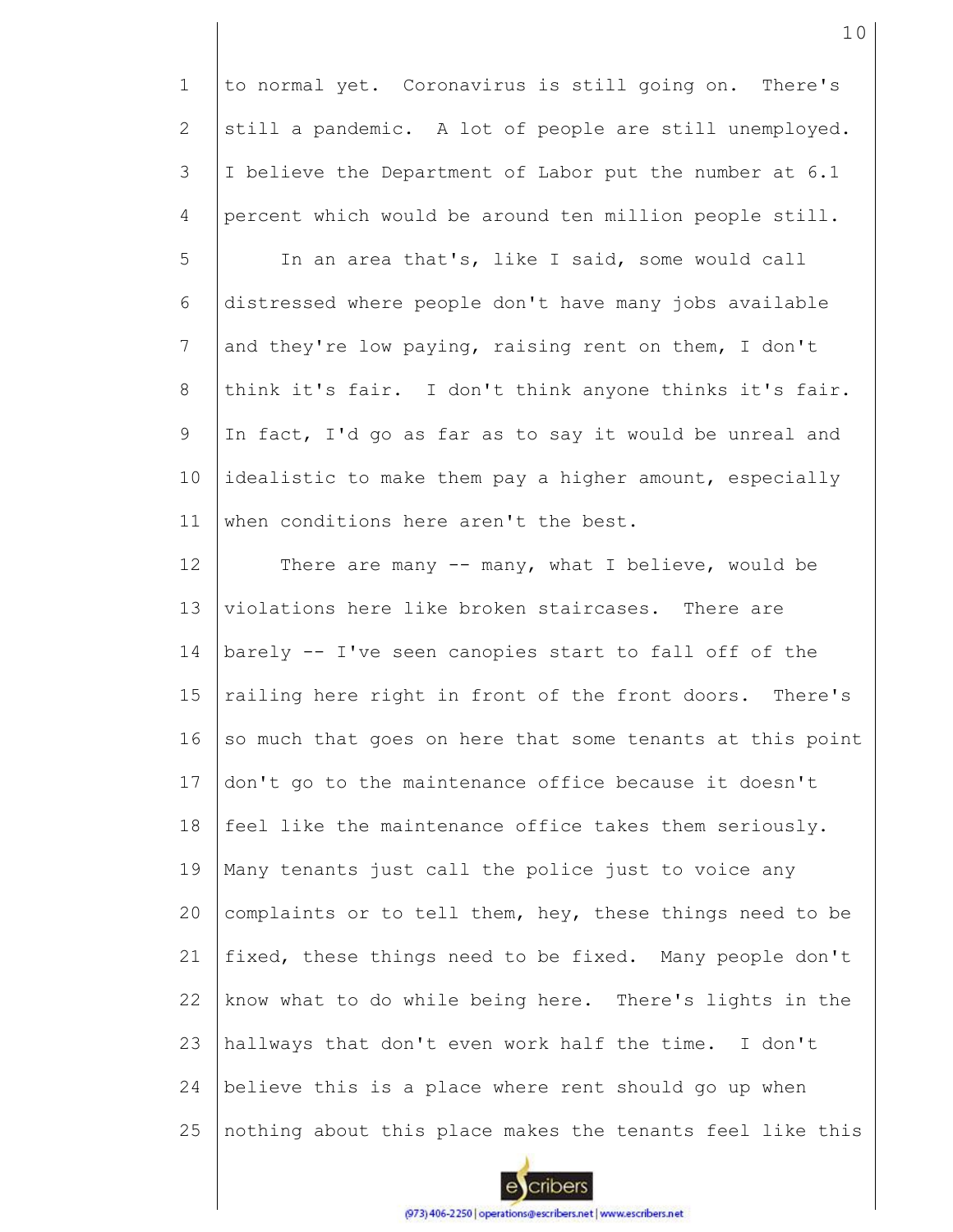1 2 3 4 to normal yet. Coronavirus is still going on. There's still a pandemic. A lot of people are still unemployed. I believe the Department of Labor put the number at 6.1 percent which would be around ten million people still.

5 6 7 8 9 10 11 In an area that's, like I said, some would call distressed where people don't have many jobs available and they're low paying, raising rent on them, I don't think it's fair. I don't think anyone thinks it's fair. In fact, I'd go as far as to say it would be unreal and idealistic to make them pay a higher amount, especially when conditions here aren't the best.

12 13 14 15 16 17 18 19 20 21 22 23 24 25 There are many  $--$  many, what I believe, would be violations here like broken staircases. There are barely -- I've seen canopies start to fall off of the railing here right in front of the front doors. There's so much that goes on here that some tenants at this point don't go to the maintenance office because it doesn't feel like the maintenance office takes them seriously. Many tenants just call the police just to voice any complaints or to tell them, hey, these things need to be fixed, these things need to be fixed. Many people don't know what to do while being here. There's lights in the hallways that don't even work half the time. I don't believe this is a place where rent should go up when nothing about this place makes the tenants feel like this

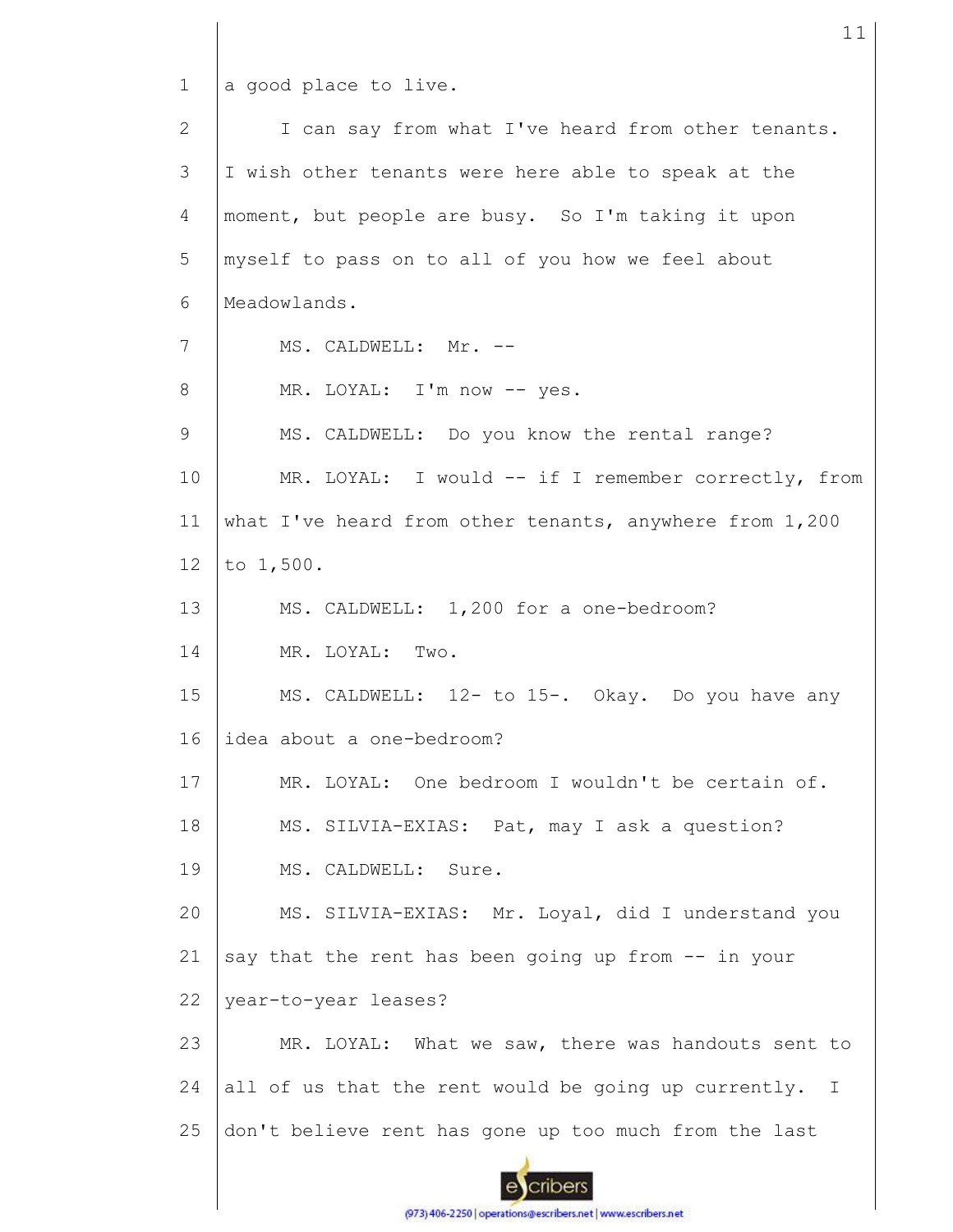1 a good place to live.

2 3 4 5 6 7 8 9 10 11 12 13 14 15 16 17 18 19 20 21 22 23 24 25 I can say from what I've heard from other tenants. I wish other tenants were here able to speak at the moment, but people are busy. So I'm taking it upon myself to pass on to all of you how we feel about Meadowlands. MS. CALDWELL: Mr. --MR. LOYAL: I'm now -- yes. MS. CALDWELL: Do you know the rental range? MR. LOYAL: I would -- if I remember correctly, from what I've heard from other tenants, anywhere from 1,200 to 1,500. MS. CALDWELL: 1,200 for a one-bedroom? MR. LOYAL: Two. MS. CALDWELL: 12- to 15-. Okay. Do you have any idea about a one-bedroom? MR. LOYAL: One bedroom I wouldn't be certain of. MS. SILVIA-EXIAS: Pat, may I ask a question? MS. CALDWELL: Sure. MS. SILVIA-EXIAS: Mr. Loyal, did I understand you say that the rent has been going up from -- in your year-to-year leases? MR. LOYAL: What we saw, there was handouts sent to all of us that the rent would be going up currently. I don't believe rent has gone up too much from the last

cribers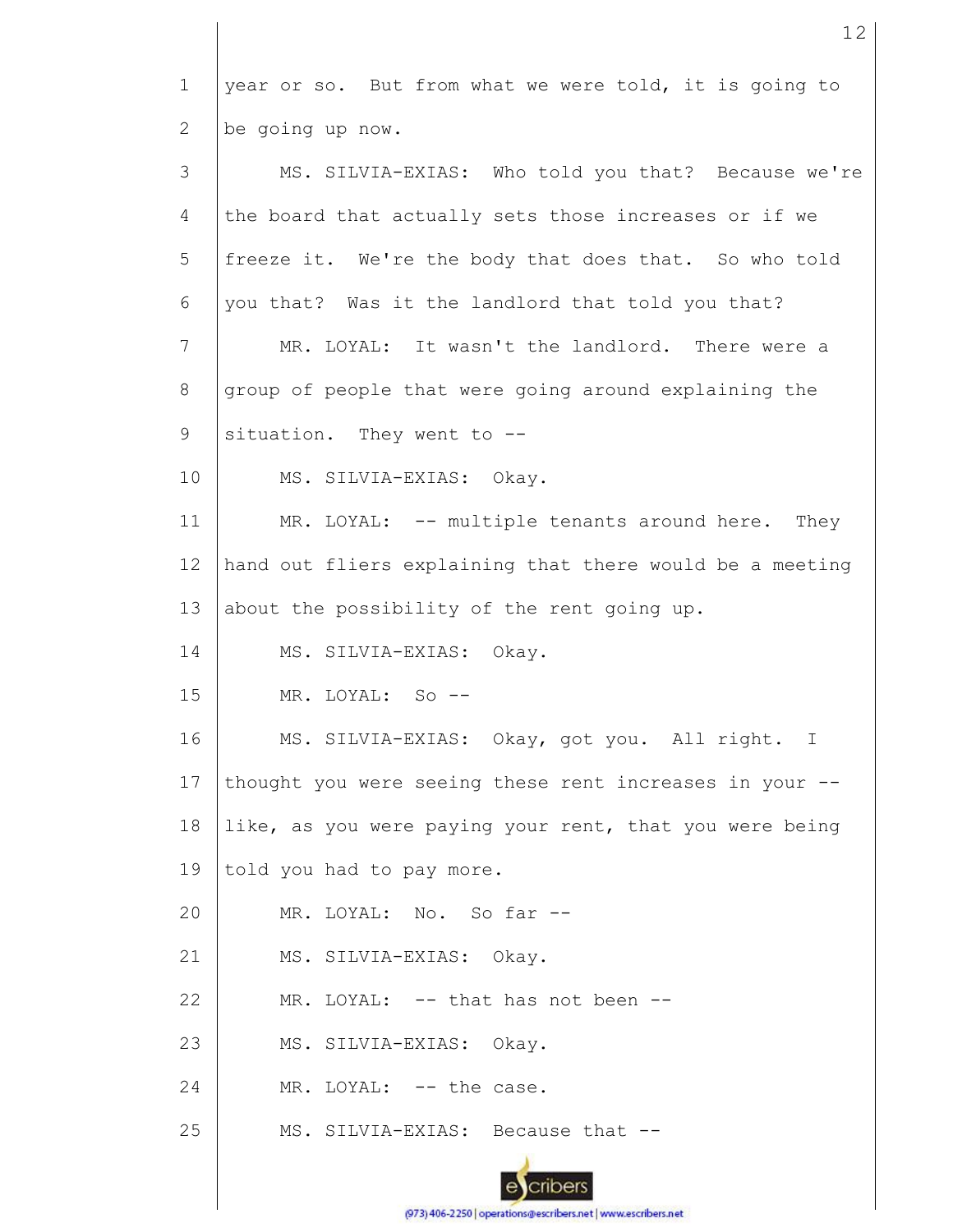1 2 3 4 5 6 7 8 9 10 11 12 13 14 15 16 17 18 19 20 21 22 23 24 25 year or so. But from what we were told, it is going to be going up now. MS. SILVIA-EXIAS: Who told you that? Because we're the board that actually sets those increases or if we freeze it. We're the body that does that. So who told you that? Was it the landlord that told you that? MR. LOYAL: It wasn't the landlord. There were a group of people that were going around explaining the situation. They went to -- MS. SILVIA-EXIAS: Okay. MR. LOYAL: -- multiple tenants around here. They hand out fliers explaining that there would be a meeting about the possibility of the rent going up. MS. SILVIA-EXIAS: Okay. MR. LOYAL: So -- MS. SILVIA-EXIAS: Okay, got you. All right. I thought you were seeing these rent increases in your - like, as you were paying your rent, that you were being told you had to pay more. MR. LOYAL: No. So far -- MS. SILVIA-EXIAS: Okay. MR. LOYAL: -- that has not been --MS. SILVIA-EXIAS: Okay. MR. LOYAL: -- the case. MS. SILVIA-EXIAS: Because that --

12

(973) 406-2250 | operations@escribers.net | www.escribers.net

cribers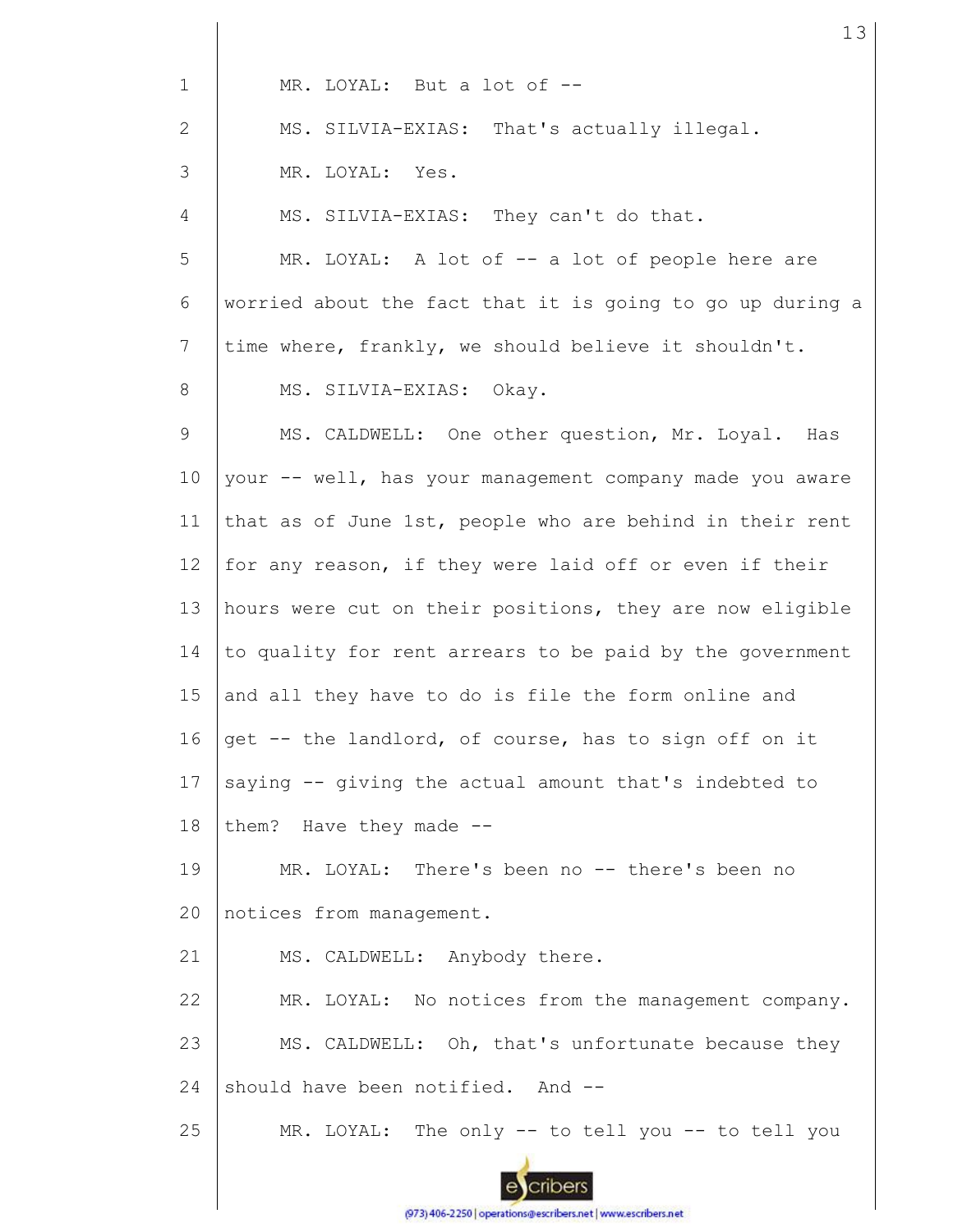| $\mathbf{1}$ | MR. LOYAL: But a lot of --                                |
|--------------|-----------------------------------------------------------|
| 2            | MS. SILVIA-EXIAS: That's actually illegal.                |
| 3            | MR. LOYAL: Yes.                                           |
| 4            | MS. SILVIA-EXIAS: They can't do that.                     |
| 5            | MR. LOYAL: A lot of -- a lot of people here are           |
| 6            | worried about the fact that it is going to go up during a |
| 7            | time where, frankly, we should believe it shouldn't.      |
| 8            | MS. SILVIA-EXIAS: Okay.                                   |
| 9            | MS. CALDWELL: One other question, Mr. Loyal. Has          |
| 10           | your -- well, has your management company made you aware  |
| 11           | that as of June 1st, people who are behind in their rent  |
| 12           | for any reason, if they were laid off or even if their    |
| 13           | hours were cut on their positions, they are now eligible  |
| 14           | to quality for rent arrears to be paid by the government  |
| 15           | and all they have to do is file the form online and       |
| 16           | get -- the landlord, of course, has to sign off on it     |
| 17           | saying -- giving the actual amount that's indebted to     |
| 18           | them? Have they made --                                   |
| 19           | MR. LOYAL: There's been no -- there's been no             |
| 20           | notices from management.                                  |
| 21           | MS. CALDWELL: Anybody there.                              |
| 22           | MR. LOYAL: No notices from the management company.        |
| 23           | MS. CALDWELL: Oh, that's unfortunate because they         |
| 24           | should have been notified. And --                         |
| 25           | MR. LOYAL: The only -- to tell you -- to tell you         |
|              |                                                           |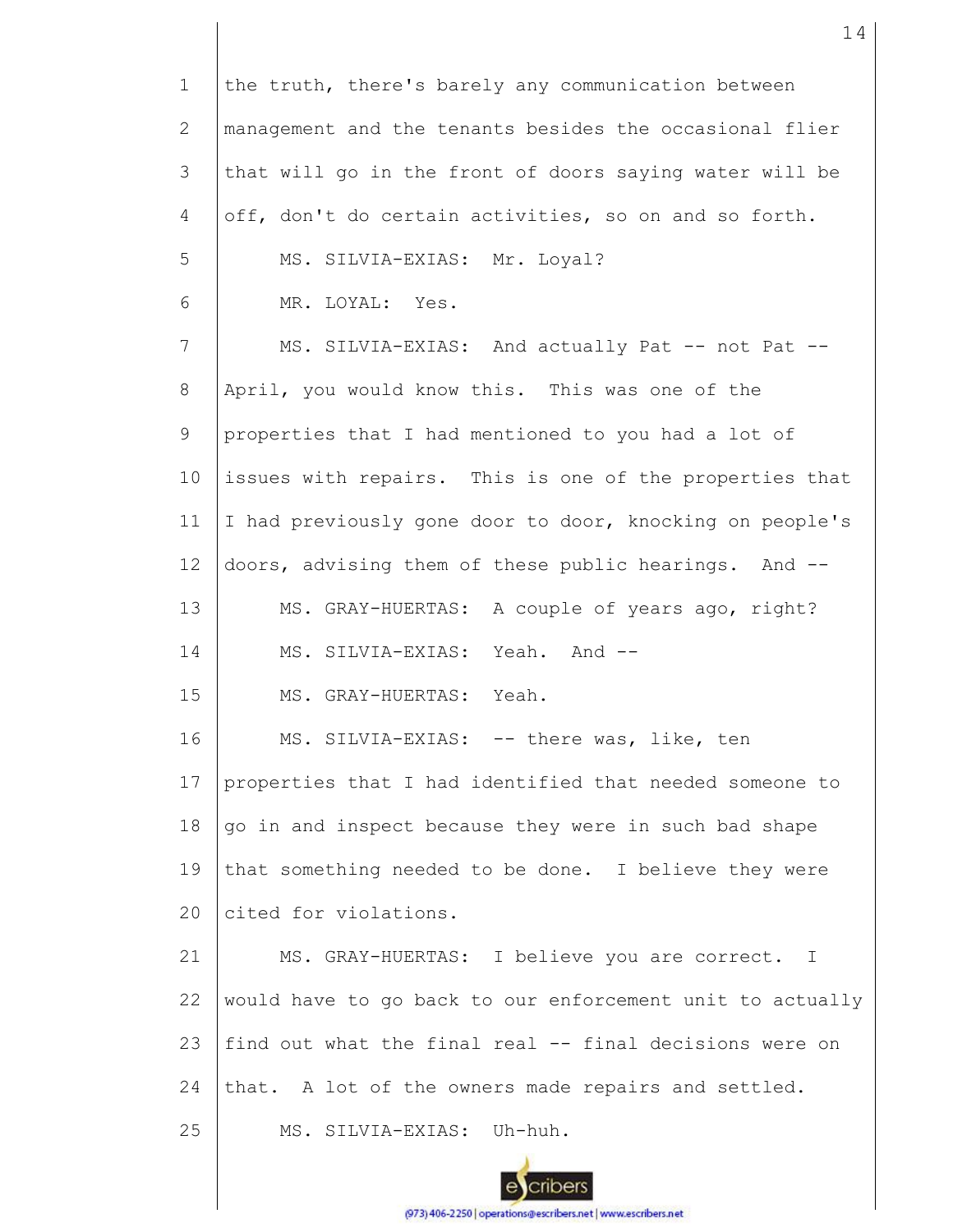| $\mathbf 1$ | the truth, there's barely any communication between       |
|-------------|-----------------------------------------------------------|
| 2           | management and the tenants besides the occasional flier   |
| 3           | that will go in the front of doors saying water will be   |
| 4           | off, don't do certain activities, so on and so forth.     |
| 5           | MS. SILVIA-EXIAS: Mr. Loyal?                              |
| 6           | MR. LOYAL: Yes.                                           |
| 7           | MS. SILVIA-EXIAS: And actually Pat -- not Pat --          |
| 8           | April, you would know this. This was one of the           |
| 9           | properties that I had mentioned to you had a lot of       |
| 10          | issues with repairs. This is one of the properties that   |
| 11          | I had previously gone door to door, knocking on people's  |
| 12          | doors, advising them of these public hearings. And --     |
| 13          | MS. GRAY-HUERTAS: A couple of years ago, right?           |
| 14          | Yeah. And --<br>MS. SILVIA-EXIAS:                         |
| 15          | MS. GRAY-HUERTAS: Yeah.                                   |
| 16          | MS. SILVIA-EXIAS: -- there was, like, ten                 |
| 17          | properties that I had identified that needed someone to   |
| 18          | go in and inspect because they were in such bad shape     |
| 19          | that something needed to be done. I believe they were     |
| 20          | cited for violations.                                     |
| 21          | MS. GRAY-HUERTAS: I believe you are correct. I            |
| 22          | would have to go back to our enforcement unit to actually |
| 23          | find out what the final real -- final decisions were on   |
| 24          | that. A lot of the owners made repairs and settled.       |
| 25          | MS. SILVIA-EXIAS: Uh-huh.                                 |
|             |                                                           |

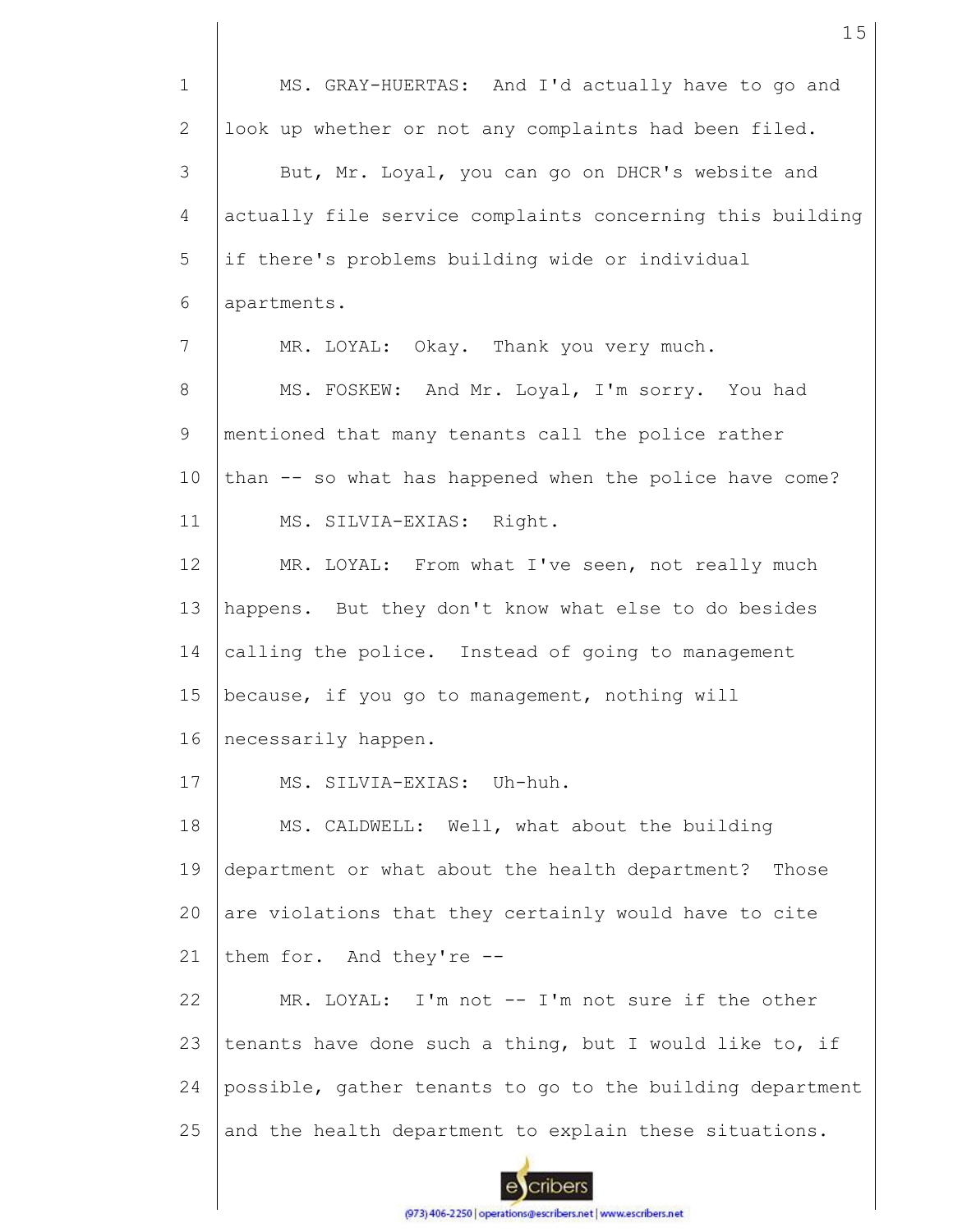1 2 3 4 5 6 7 8 9 10 11 12 13 14 15 16 17 18 19 20 21 22 23 24 25 MS. GRAY-HUERTAS: And I'd actually have to go and look up whether or not any complaints had been filed. But, Mr. Loyal, you can go on DHCR's website and actually file service complaints concerning this building if there's problems building wide or individual apartments. MR. LOYAL: Okay. Thank you very much. MS. FOSKEW: And Mr. Loyal, I'm sorry. You had mentioned that many tenants call the police rather than -- so what has happened when the police have come? MS. SILVIA-EXIAS: Right. MR. LOYAL: From what I've seen, not really much happens. But they don't know what else to do besides calling the police. Instead of going to management because, if you go to management, nothing will necessarily happen. MS. SILVIA-EXIAS: Uh-huh. MS. CALDWELL: Well, what about the building department or what about the health department? Those are violations that they certainly would have to cite them for. And they're -- MR. LOYAL: I'm not -- I'm not sure if the other tenants have done such a thing, but I would like to, if possible, gather tenants to go to the building department and the health department to explain these situations.

15

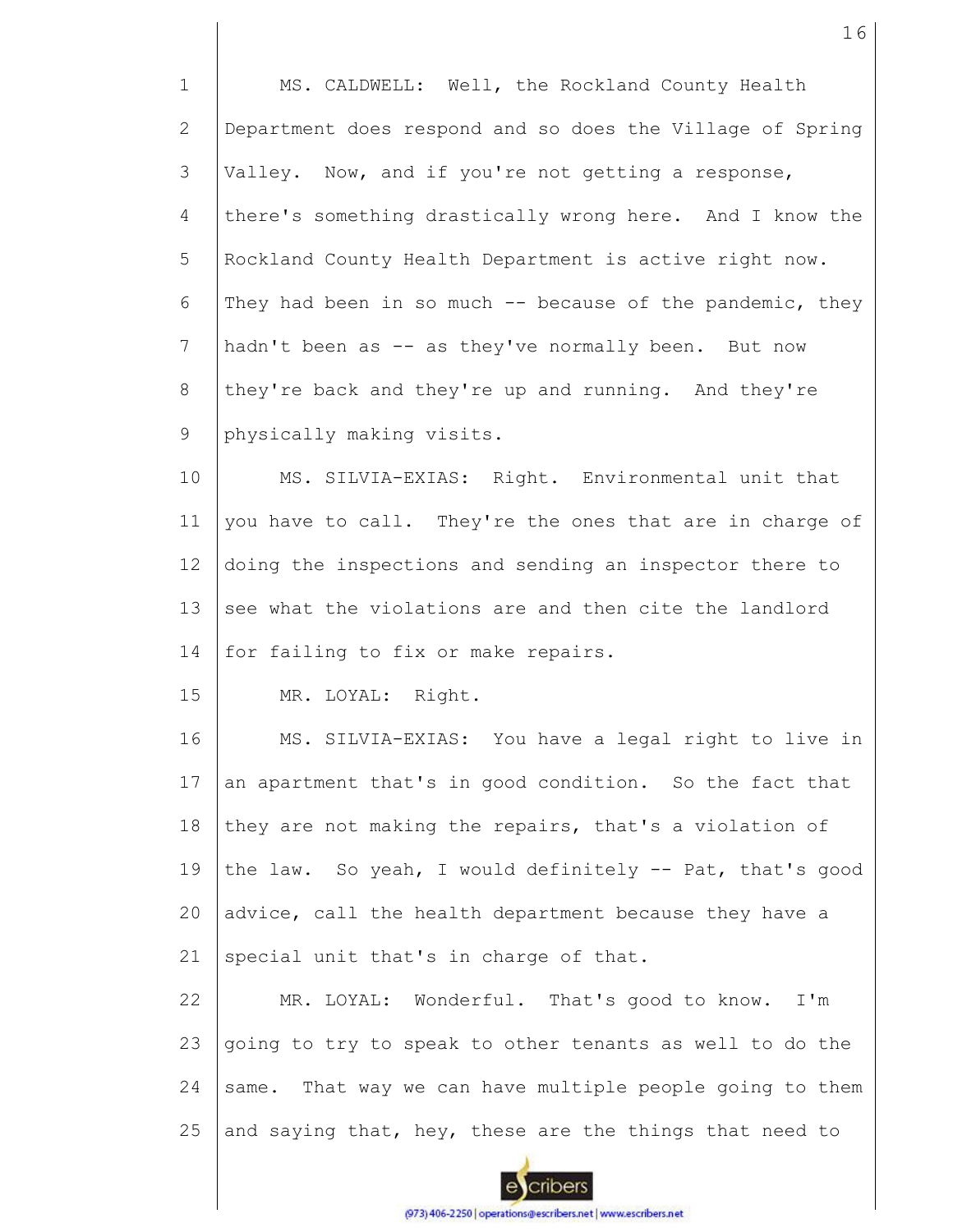| $\mathbf 1$    | MS. CALDWELL: Well, the Rockland County Health            |  |  |  |  |  |
|----------------|-----------------------------------------------------------|--|--|--|--|--|
| $\overline{2}$ | Department does respond and so does the Village of Spring |  |  |  |  |  |
| 3              | Valley. Now, and if you're not getting a response,        |  |  |  |  |  |
| 4              | there's something drastically wrong here. And I know the  |  |  |  |  |  |
| 5              | Rockland County Health Department is active right now.    |  |  |  |  |  |
| 6              | They had been in so much -- because of the pandemic, they |  |  |  |  |  |
| 7              | hadn't been as -- as they've normally been. But now       |  |  |  |  |  |
| 8              | they're back and they're up and running. And they're      |  |  |  |  |  |
| 9              | physically making visits.                                 |  |  |  |  |  |
| 10             | MS. SILVIA-EXIAS: Right. Environmental unit that          |  |  |  |  |  |
| 11             | you have to call. They're the ones that are in charge of  |  |  |  |  |  |
| 12             | doing the inspections and sending an inspector there to   |  |  |  |  |  |
| 13             | see what the violations are and then cite the landlord    |  |  |  |  |  |
| 14             | for failing to fix or make repairs.                       |  |  |  |  |  |
| 15             | MR. LOYAL: Right.                                         |  |  |  |  |  |
| 16             | MS. SILVIA-EXIAS: You have a legal right to live in       |  |  |  |  |  |
| 17             | an apartment that's in good condition. So the fact that   |  |  |  |  |  |
| 18             | they are not making the repairs, that's a violation of    |  |  |  |  |  |
| 19             | the law. So yeah, I would definitely -- Pat, that's good  |  |  |  |  |  |
| 20             | advice, call the health department because they have a    |  |  |  |  |  |
| 21             | special unit that's in charge of that.                    |  |  |  |  |  |
| 22             | MR. LOYAL: Wonderful. That's good to know. I'm            |  |  |  |  |  |
| 23             | going to try to speak to other tenants as well to do the  |  |  |  |  |  |
| 24             | same. That way we can have multiple people going to them  |  |  |  |  |  |
| 25             | and saying that, hey, these are the things that need to   |  |  |  |  |  |

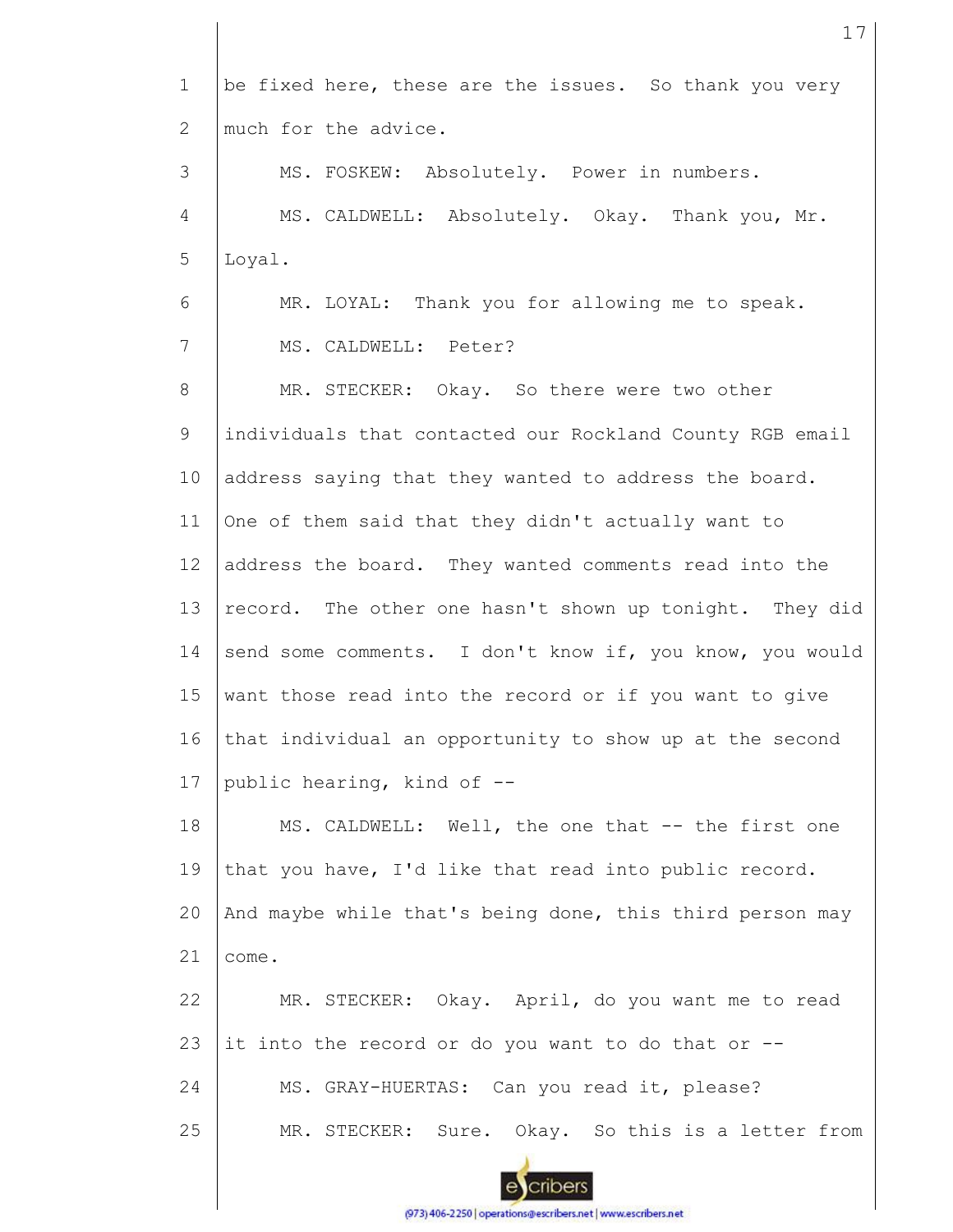1 2 3 4 5 6 7 8 9 10 11 12 13 14 15 16 17 18 19 20 21 22 23 24 25 be fixed here, these are the issues. So thank you very much for the advice. MS. FOSKEW: Absolutely. Power in numbers. MS. CALDWELL: Absolutely. Okay. Thank you, Mr. Loyal. MR. LOYAL: Thank you for allowing me to speak. MS. CALDWELL: Peter? MR. STECKER: Okay. So there were two other individuals that contacted our Rockland County RGB email address saying that they wanted to address the board. One of them said that they didn't actually want to address the board. They wanted comments read into the record. The other one hasn't shown up tonight. They did send some comments. I don't know if, you know, you would want those read into the record or if you want to give that individual an opportunity to show up at the second public hearing, kind of -- MS. CALDWELL: Well, the one that -- the first one that you have, I'd like that read into public record. And maybe while that's being done, this third person may come. MR. STECKER: Okay. April, do you want me to read it into the record or do you want to do that or --MS. GRAY-HUERTAS: Can you read it, please? MR. STECKER: Sure. Okay. So this is a letter from

17

enbers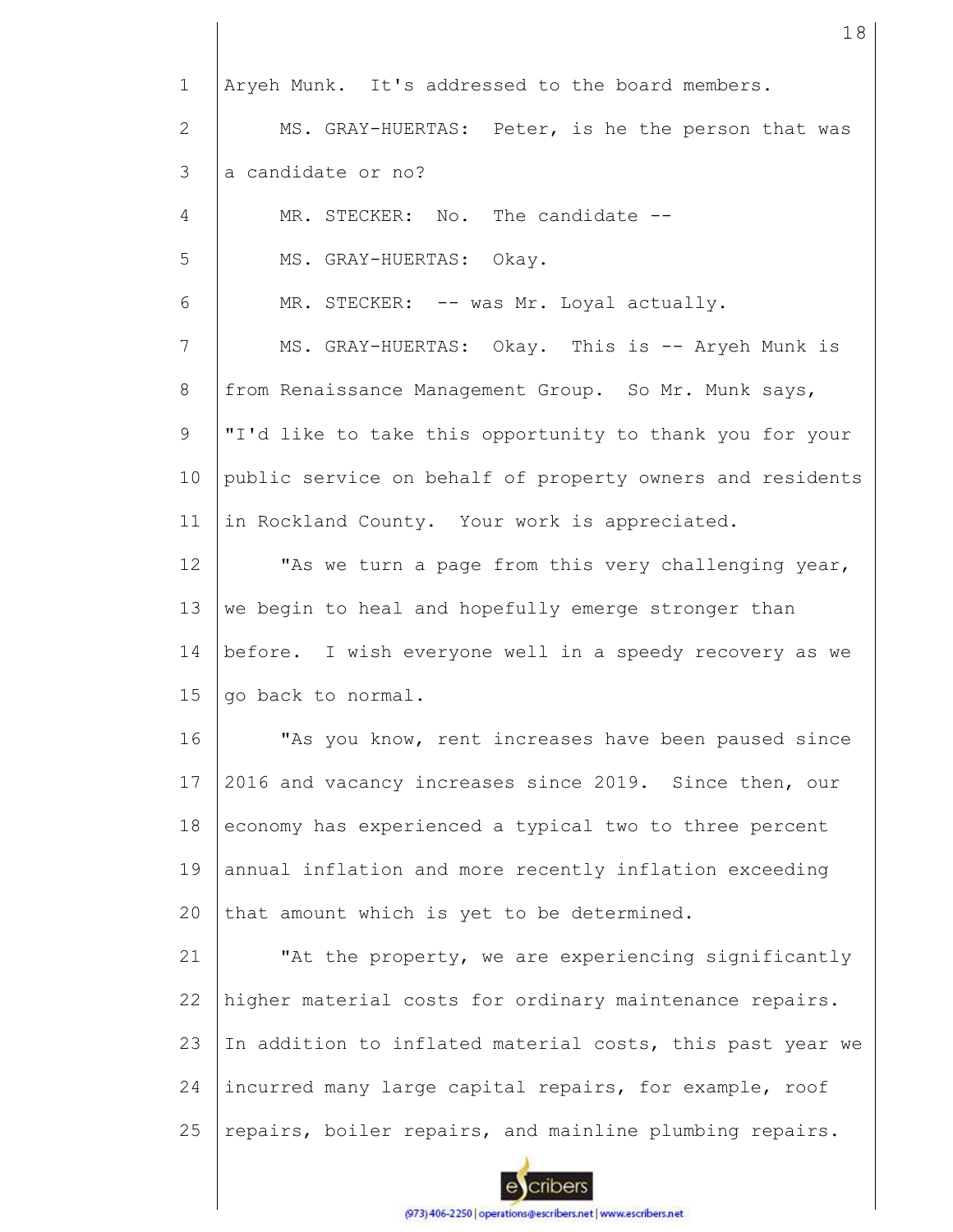1 2 3 4 5 6 7 8 9 10 11 12 13 14 15 16 17 18 19 20 21 22 23 24 25 Aryeh Munk. It's addressed to the board members. MS. GRAY-HUERTAS: Peter, is he the person that was a candidate or no? MR. STECKER: No. The candidate --MS. GRAY-HUERTAS: Okay. MR. STECKER: -- was Mr. Loyal actually. MS. GRAY-HUERTAS: Okay. This is -- Aryeh Munk is from Renaissance Management Group. So Mr. Munk says, "I'd like to take this opportunity to thank you for your public service on behalf of property owners and residents in Rockland County. Your work is appreciated. "As we turn a page from this very challenging year, we begin to heal and hopefully emerge stronger than before. I wish everyone well in a speedy recovery as we go back to normal. "As you know, rent increases have been paused since 2016 and vacancy increases since 2019. Since then, our economy has experienced a typical two to three percent annual inflation and more recently inflation exceeding that amount which is yet to be determined. "At the property, we are experiencing significantly higher material costs for ordinary maintenance repairs. In addition to inflated material costs, this past year we incurred many large capital repairs, for example, roof repairs, boiler repairs, and mainline plumbing repairs.

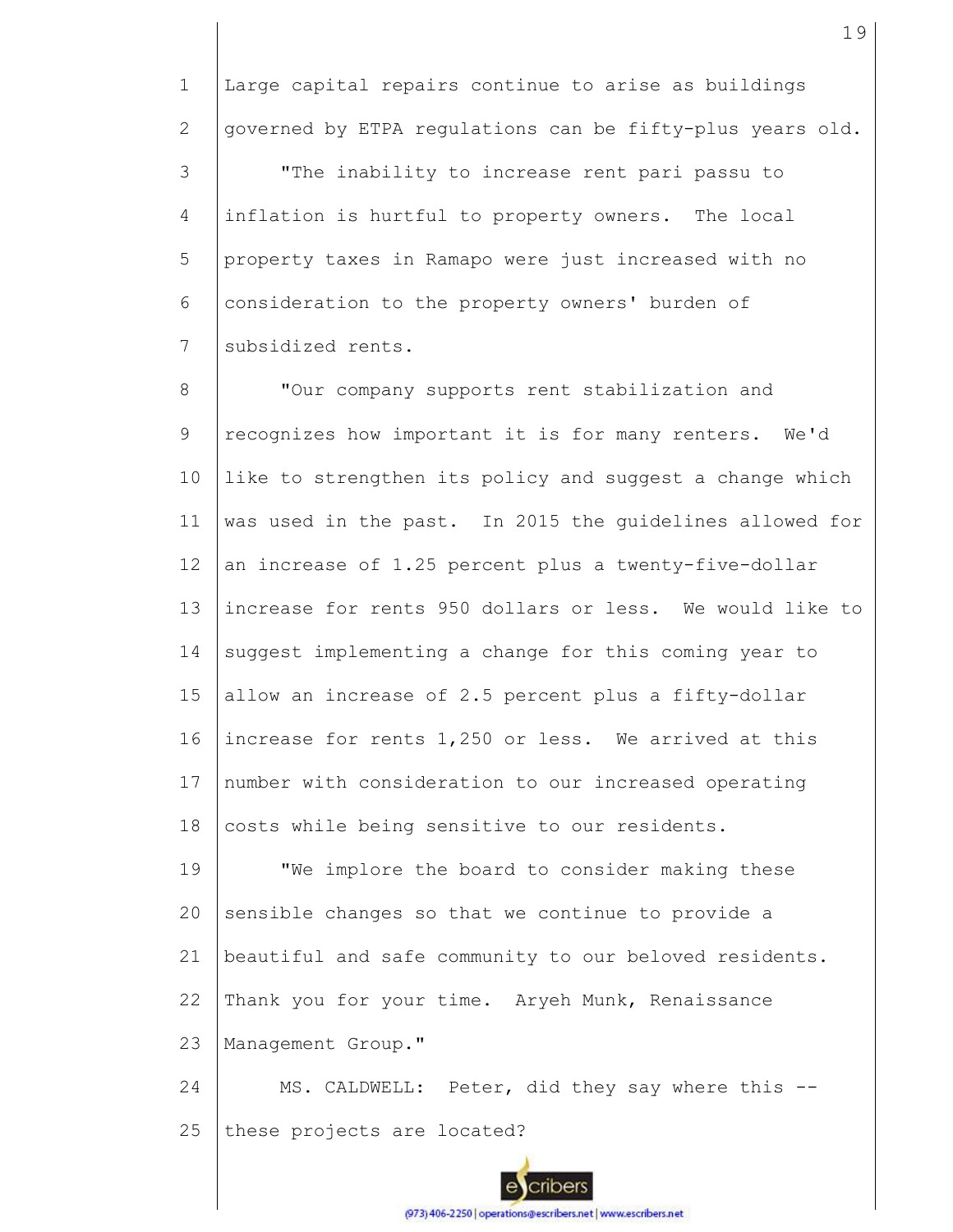1 2 Large capital repairs continue to arise as buildings governed by ETPA regulations can be fifty-plus years old.

3 4 5 6 7 "The inability to increase rent pari passu to inflation is hurtful to property owners. The local property taxes in Ramapo were just increased with no consideration to the property owners' burden of subsidized rents.

8 9 10 11 12 13 14 15 16 17 18 "Our company supports rent stabilization and recognizes how important it is for many renters. We'd like to strengthen its policy and suggest a change which was used in the past. In 2015 the guidelines allowed for an increase of 1.25 percent plus a twenty-five-dollar increase for rents 950 dollars or less. We would like to suggest implementing a change for this coming year to allow an increase of 2.5 percent plus a fifty-dollar increase for rents 1,250 or less. We arrived at this number with consideration to our increased operating costs while being sensitive to our residents.

19 20 21 22 23 "We implore the board to consider making these sensible changes so that we continue to provide a beautiful and safe community to our beloved residents. Thank you for your time. Aryeh Munk, Renaissance Management Group."

24 25 MS. CALDWELL: Peter, did they say where this - these projects are located?

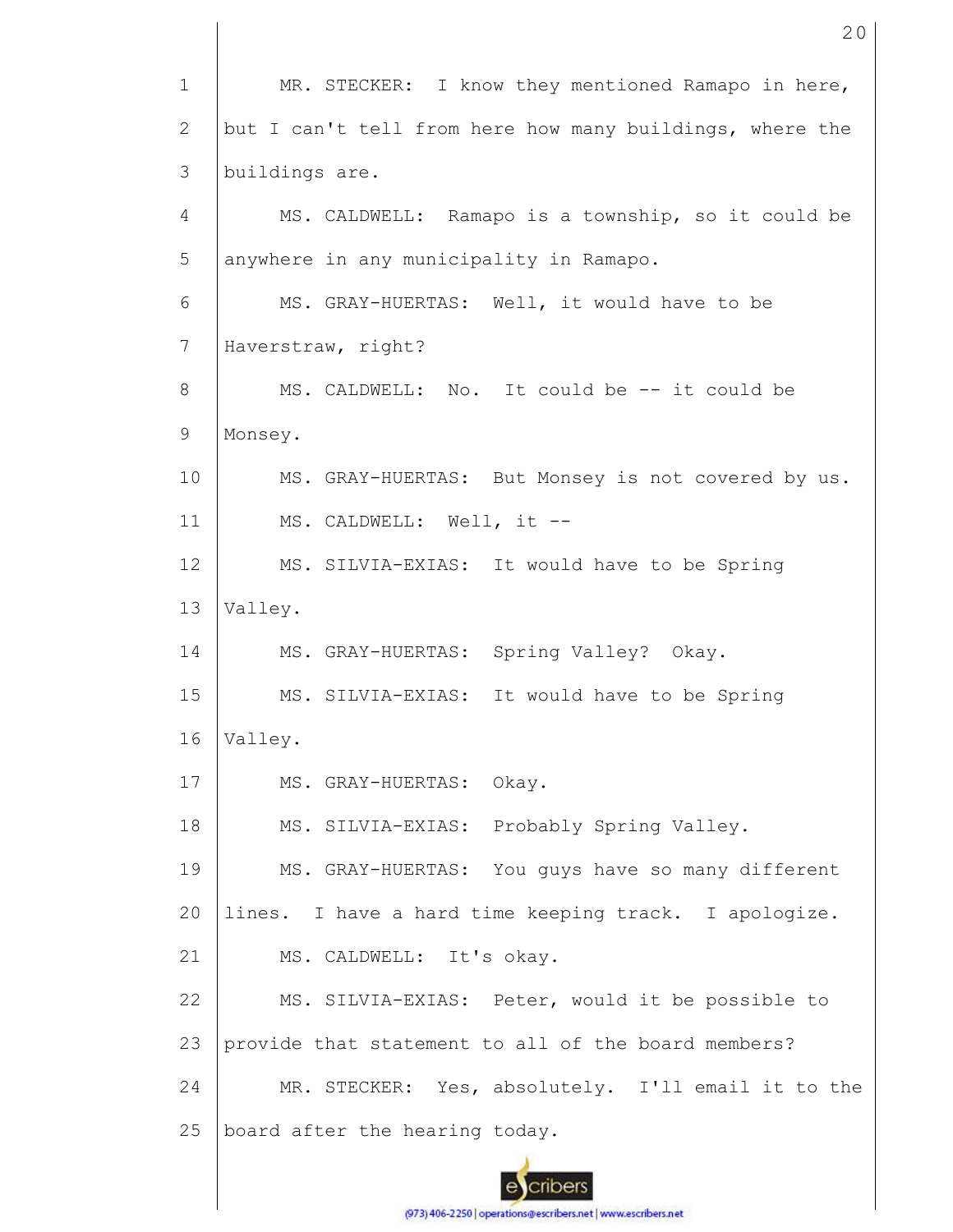1 2 3 4 5 6 7 8 9 10 11 12 13 14 15 16 17 18 19 20 21 22 23 24 25 MR. STECKER: I know they mentioned Ramapo in here, but I can't tell from here how many buildings, where the buildings are. MS. CALDWELL: Ramapo is a township, so it could be anywhere in any municipality in Ramapo. MS. GRAY-HUERTAS: Well, it would have to be Haverstraw, right? MS. CALDWELL: No. It could be -- it could be Monsey. MS. GRAY-HUERTAS: But Monsey is not covered by us. MS. CALDWELL: Well, it -- MS. SILVIA-EXIAS: It would have to be Spring Valley. MS. GRAY-HUERTAS: Spring Valley? Okay. MS. SILVIA-EXIAS: It would have to be Spring Valley. MS. GRAY-HUERTAS: Okay. MS. SILVIA-EXIAS: Probably Spring Valley. MS. GRAY-HUERTAS: You guys have so many different lines. I have a hard time keeping track. I apologize. MS. CALDWELL: It's okay. MS. SILVIA-EXIAS: Peter, would it be possible to provide that statement to all of the board members? MR. STECKER: Yes, absolutely. I'll email it to the board after the hearing today.

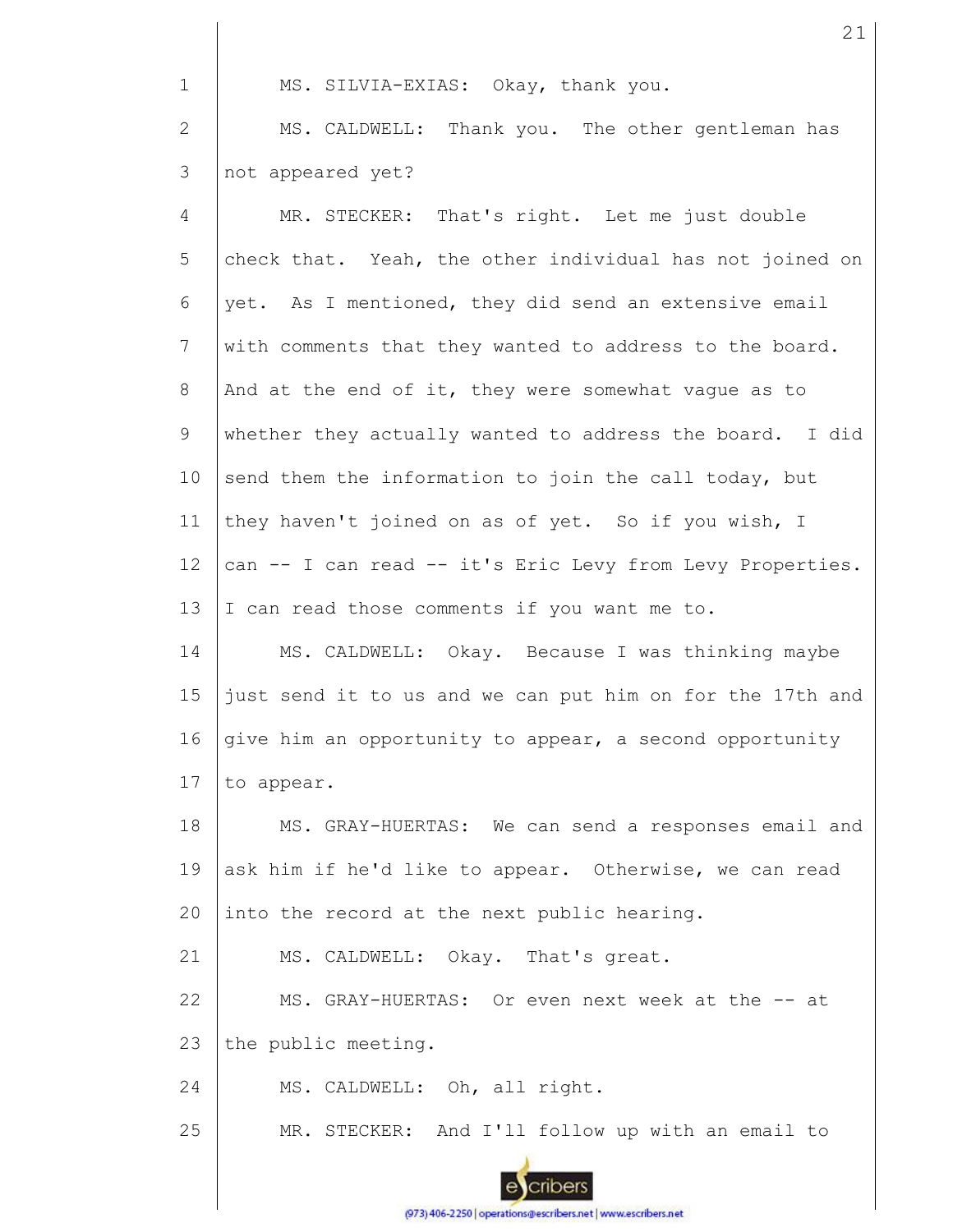MS. SILVIA-EXIAS: Okay, thank you.

1

2 3 MS. CALDWELL: Thank you. The other gentleman has not appeared yet?

| $\overline{4}$  | MR. STECKER: That's right. Let me just double             |
|-----------------|-----------------------------------------------------------|
| 5               | check that. Yeah, the other individual has not joined on  |
| 6               | yet. As I mentioned, they did send an extensive email     |
| $7\phantom{.0}$ | with comments that they wanted to address to the board.   |
| 8               | And at the end of it, they were somewhat vague as to      |
| 9               | whether they actually wanted to address the board. I did  |
| 10              | send them the information to join the call today, but     |
| 11              | they haven't joined on as of yet. So if you wish, I       |
| 12              | can -- I can read -- it's Eric Levy from Levy Properties. |
| 13              | I can read those comments if you want me to.              |
| 14              | MS. CALDWELL: Okay. Because I was thinking maybe          |
| 15              | just send it to us and we can put him on for the 17th and |
| 16              | give him an opportunity to appear, a second opportunity   |
| 17              | to appear.                                                |
| 18              | MS. GRAY-HUERTAS: We can send a responses email and       |
| 19              | ask him if he'd like to appear. Otherwise, we can read    |
| 20              | into the record at the next public hearing.               |
| 21              | MS. CALDWELL: Okay. That's great.                         |
| 22              | MS. GRAY-HUERTAS: Or even next week at the -- at          |
| 23              | the public meeting.                                       |
| 24              | MS. CALDWELL: Oh, all right.                              |
| 25              | MR. STECKER: And I'll follow up with an email to          |
|                 |                                                           |

21

cribers

 $\mathbf{e}$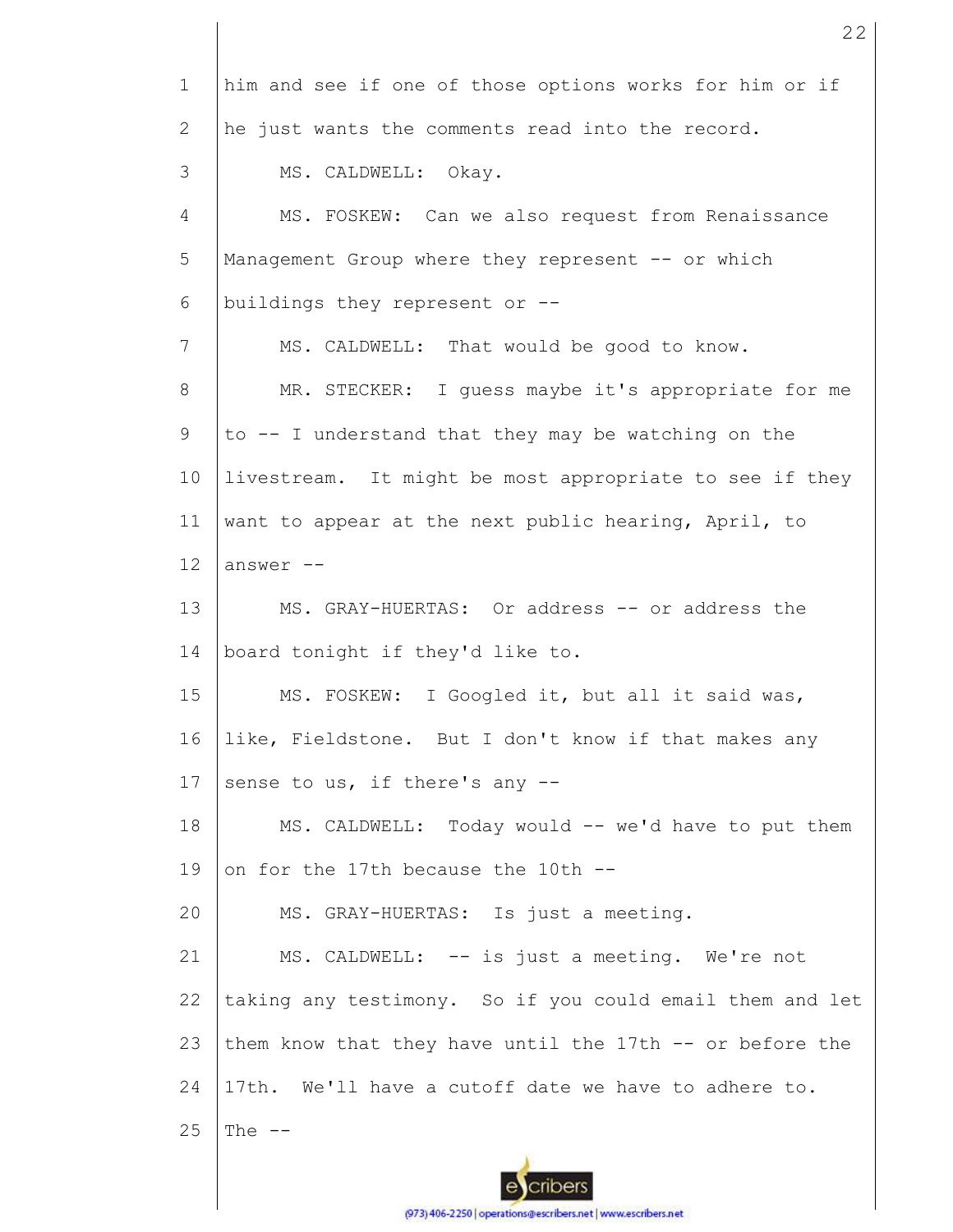| $\mathbf{1}$ | him and see if one of those options works for him or if  |  |  |  |  |  |
|--------------|----------------------------------------------------------|--|--|--|--|--|
| 2            | he just wants the comments read into the record.         |  |  |  |  |  |
| 3            | MS. CALDWELL: Okay.                                      |  |  |  |  |  |
| 4            | MS. FOSKEW: Can we also request from Renaissance         |  |  |  |  |  |
| 5            | Management Group where they represent -- or which        |  |  |  |  |  |
| 6            | buildings they represent or --                           |  |  |  |  |  |
| 7            | MS. CALDWELL: That would be good to know.                |  |  |  |  |  |
| 8            | MR. STECKER: I guess maybe it's appropriate for me       |  |  |  |  |  |
| 9            | to -- I understand that they may be watching on the      |  |  |  |  |  |
| 10           | livestream. It might be most appropriate to see if they  |  |  |  |  |  |
| 11           | want to appear at the next public hearing, April, to     |  |  |  |  |  |
| 12           | answer --                                                |  |  |  |  |  |
| 13           | MS. GRAY-HUERTAS: Or address -- or address the           |  |  |  |  |  |
| 14           | board tonight if they'd like to.                         |  |  |  |  |  |
| 15           | MS. FOSKEW: I Googled it, but all it said was,           |  |  |  |  |  |
| 16           | like, Fieldstone. But I don't know if that makes any     |  |  |  |  |  |
| 17           | sense to us, if there's any --                           |  |  |  |  |  |
| 18           | MS. CALDWELL: Today would -- we'd have to put them       |  |  |  |  |  |
| 19           | on for the 17th because the 10th --                      |  |  |  |  |  |
| 20           | MS. GRAY-HUERTAS: Is just a meeting.                     |  |  |  |  |  |
| 21           | MS. CALDWELL: -- is just a meeting. We're not            |  |  |  |  |  |
| 22           | taking any testimony. So if you could email them and let |  |  |  |  |  |
| 23           | them know that they have until the 17th -- or before the |  |  |  |  |  |
| 24           | 17th. We'll have a cutoff date we have to adhere to.     |  |  |  |  |  |
| 25           | The $--$                                                 |  |  |  |  |  |
|              |                                                          |  |  |  |  |  |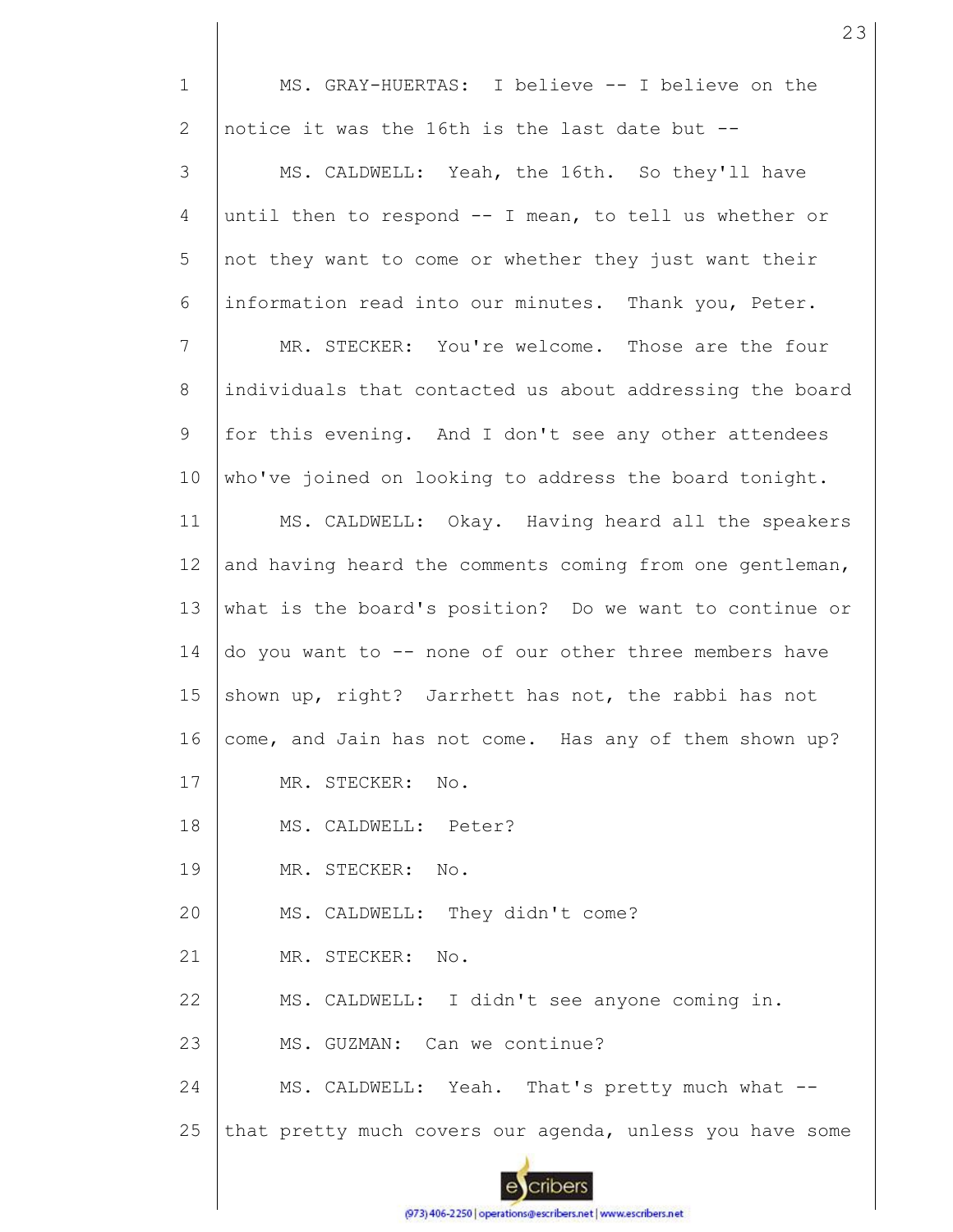1 2 3 4 5 6 7 8 9 10 11 12 13 14 15 16 17 18 19 20 21 22 23 24 25 MS. GRAY-HUERTAS: I believe -- I believe on the notice it was the 16th is the last date but -- MS. CALDWELL: Yeah, the 16th. So they'll have until then to respond -- I mean, to tell us whether or not they want to come or whether they just want their information read into our minutes. Thank you, Peter. MR. STECKER: You're welcome. Those are the four individuals that contacted us about addressing the board for this evening. And I don't see any other attendees who've joined on looking to address the board tonight. MS. CALDWELL: Okay. Having heard all the speakers and having heard the comments coming from one gentleman, what is the board's position? Do we want to continue or do you want to -- none of our other three members have shown up, right? Jarrhett has not, the rabbi has not come, and Jain has not come. Has any of them shown up? MR. STECKER: No. MS. CALDWELL: Peter? MR. STECKER: No. MS. CALDWELL: They didn't come? MR. STECKER: No. MS. CALDWELL: I didn't see anyone coming in. MS. GUZMAN: Can we continue? MS. CALDWELL: Yeah. That's pretty much what -that pretty much covers our agenda, unless you have some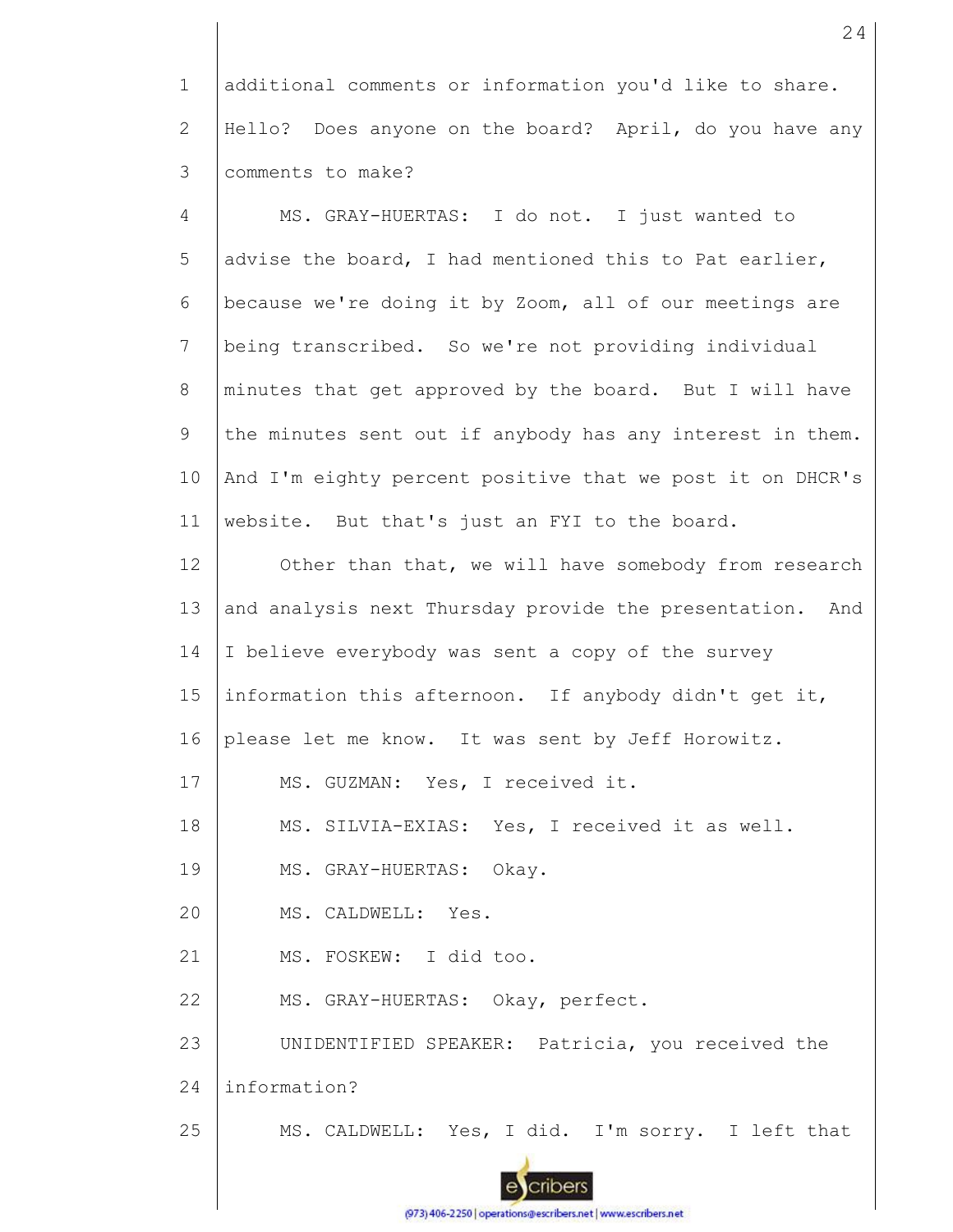1 2 3 additional comments or information you'd like to share. Hello? Does anyone on the board? April, do you have any comments to make?

4 5 6 7 8 9 10 11 MS. GRAY-HUERTAS: I do not. I just wanted to advise the board, I had mentioned this to Pat earlier, because we're doing it by Zoom, all of our meetings are being transcribed. So we're not providing individual minutes that get approved by the board. But I will have the minutes sent out if anybody has any interest in them. And I'm eighty percent positive that we post it on DHCR's website. But that's just an FYI to the board.

12 13 14 15 16 17 18 19 20 21 22 23 24 25 Other than that, we will have somebody from research and analysis next Thursday provide the presentation. And I believe everybody was sent a copy of the survey information this afternoon. If anybody didn't get it, please let me know. It was sent by Jeff Horowitz. MS. GUZMAN: Yes, I received it. MS. SILVIA-EXIAS: Yes, I received it as well. MS. GRAY-HUERTAS: Okay. MS. CALDWELL: Yes. MS. FOSKEW: I did too. MS. GRAY-HUERTAS: Okay, perfect. UNIDENTIFIED SPEAKER: Patricia, you received the information? MS. CALDWELL: Yes, I did. I'm sorry. I left that

24

cribers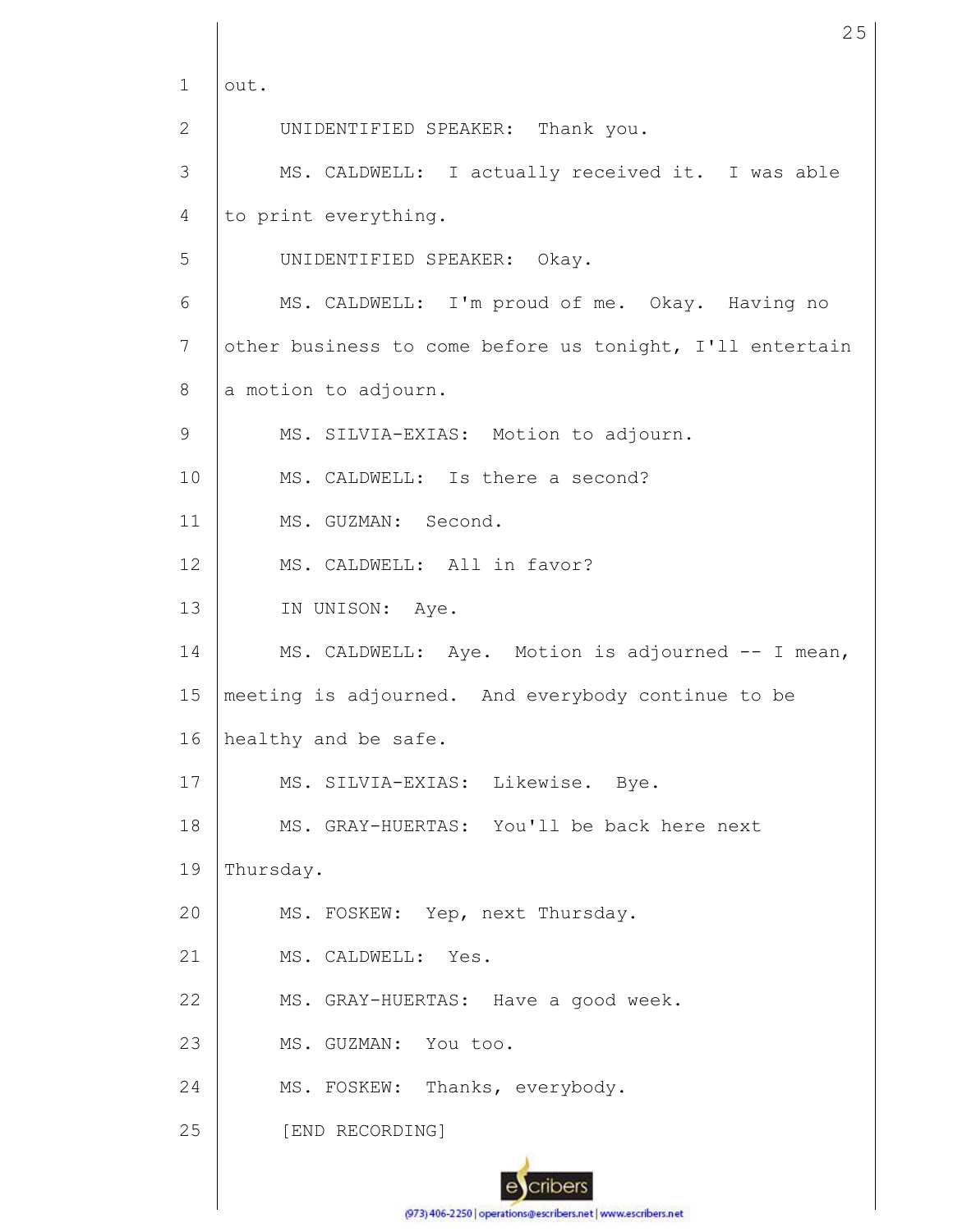1 2 3 4 5 6 7 8 9 10 11 12 13 14 15 16 17 18 19 20 21 22 23 24 25 out. UNIDENTIFIED SPEAKER: Thank you. MS. CALDWELL: I actually received it. I was able to print everything. UNIDENTIFIED SPEAKER: Okay. MS. CALDWELL: I'm proud of me. Okay. Having no other business to come before us tonight, I'll entertain a motion to adjourn. MS. SILVIA-EXIAS: Motion to adjourn. MS. CALDWELL: Is there a second? MS. GUZMAN: Second. MS. CALDWELL: All in favor? IN UNISON: Aye. MS. CALDWELL: Aye. Motion is adjourned -- I mean, meeting is adjourned. And everybody continue to be healthy and be safe. MS. SILVIA-EXIAS: Likewise. Bye. MS. GRAY-HUERTAS: You'll be back here next Thursday. MS. FOSKEW: Yep, next Thursday. MS. CALDWELL: Yes. MS. GRAY-HUERTAS: Have a good week. MS. GUZMAN: You too. MS. FOSKEW: Thanks, everybody. [END RECORDING]

(973) 406-2250 | operations@escribers.net | www.escribers.net

25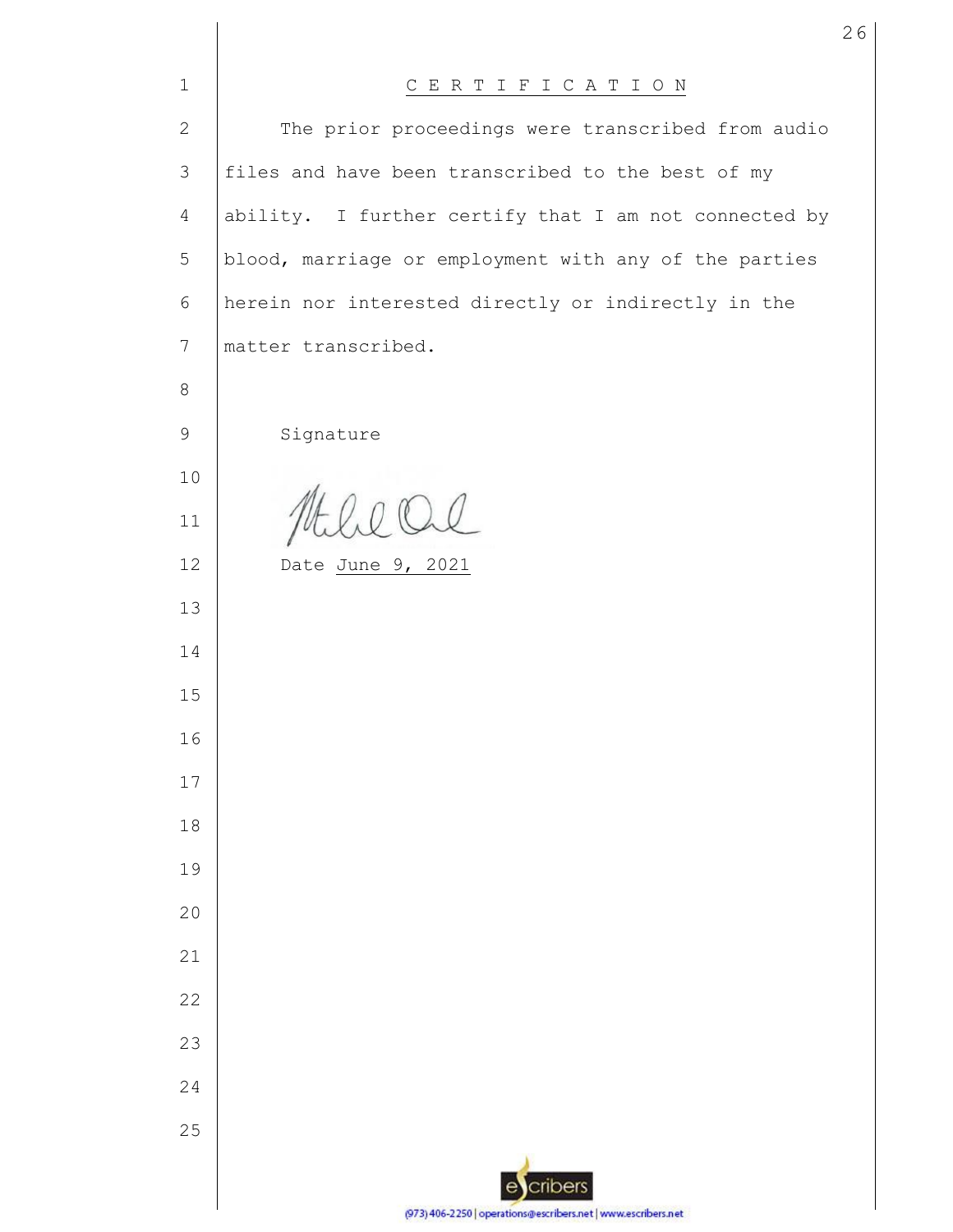| $\mathbf{1}$    | CERTIFICATION                                                 |  |  |  |  |
|-----------------|---------------------------------------------------------------|--|--|--|--|
| $\mathbf{2}$    | The prior proceedings were transcribed from audio             |  |  |  |  |
| 3               | files and have been transcribed to the best of my             |  |  |  |  |
| 4               | ability. I further certify that I am not connected by         |  |  |  |  |
| 5               | blood, marriage or employment with any of the parties         |  |  |  |  |
| $6\,$           | herein nor interested directly or indirectly in the           |  |  |  |  |
| $7\phantom{.0}$ | matter transcribed.                                           |  |  |  |  |
| 8               |                                                               |  |  |  |  |
| $\mathsf 9$     | Signature                                                     |  |  |  |  |
| 10              |                                                               |  |  |  |  |
| 11              |                                                               |  |  |  |  |
| 12              | Date June 9, 2021                                             |  |  |  |  |
| 13              |                                                               |  |  |  |  |
| 14              |                                                               |  |  |  |  |
| 15              |                                                               |  |  |  |  |
| 16              |                                                               |  |  |  |  |
| 17              |                                                               |  |  |  |  |
| 18              |                                                               |  |  |  |  |
| 19              |                                                               |  |  |  |  |
| 20              |                                                               |  |  |  |  |
| 21              |                                                               |  |  |  |  |
| 22              |                                                               |  |  |  |  |
| 23              |                                                               |  |  |  |  |
| 24              |                                                               |  |  |  |  |
| 25              |                                                               |  |  |  |  |
|                 | cribers<br>$\epsilon$                                         |  |  |  |  |
|                 | (973) 406-2250   operations@escribers.net   www.escribers.net |  |  |  |  |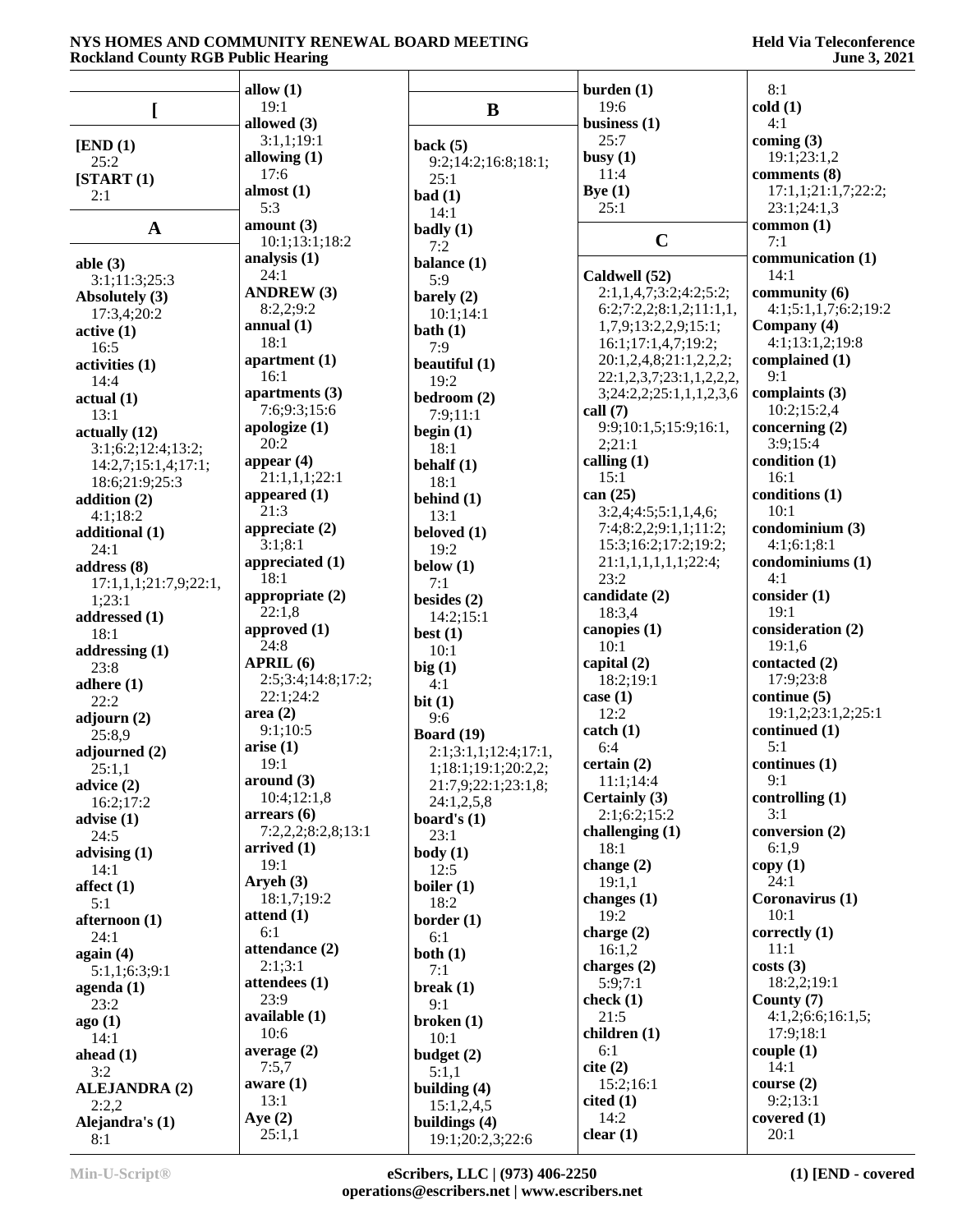|                                      | allow (1)                        |
|--------------------------------------|----------------------------------|
| ſ                                    | 19:1                             |
|                                      | allowed (3)<br>3:1,1;19:1        |
| [END (1)]<br>25:2                    | allowing (1)                     |
| [START (1)]                          | 17:6                             |
| 2:1                                  | almost (1)<br>5:3                |
| A                                    | amount $(3)$                     |
|                                      | 10:1;13:1;18:2                   |
| able $(3)$                           | analysis (1)<br>24:1             |
| 3:1;11:3;25:3<br>Absolutely (3)      | <b>ANDREW</b> (3)                |
| 17:3,4;20:2                          | 8:2,2;9:2                        |
| active (1)                           | annual $(1)$<br>18:1             |
| 16:5                                 | apartment (1)                    |
| activities (1)<br>14:4               | 16:1                             |
| actual (1)                           | apartments $(3)$                 |
| 13:1                                 | 7:6;9:3;15:6<br>apologize (1)    |
| actually (12)<br>3:1;6:2;12:4;13:2;  | 20:2                             |
| 14:2,7;15:1,4;17:1;                  | appear (4)                       |
| 18:6;21:9;25:3                       | 21:1,1,1;22:1<br>appeared (1)    |
| addition (2)<br>4:1;18:2             | 21:3                             |
| additional (1)                       | appreciate (2)                   |
| 24:1                                 | 3:1;8:1<br>appreciated (1)       |
| address (8)<br>17:1,1,1;21:7,9;22:1, | 18:1                             |
| 1;23:1                               | appropriate (2)                  |
| addressed (1)                        | 22:1,8                           |
| 18:1<br>addressing (1)               | approved (1)<br>24:8             |
| 23:8                                 | APRIL (6)                        |
| adhere (1)                           | 2:5;3:4;14:8;17:2;<br>22:1;24:2  |
| 22:2<br>adjourn (2)                  | area(2)                          |
| 25:8,9                               | 9:1;10:5                         |
| adjourned (2)                        | arise(1)<br>19:1                 |
| 25:1,1<br>advice (2)                 | around (3)                       |
| 16:2;17:2                            | 10:4;12:1,8                      |
| advise (1)                           | arrears(6)<br>7:2,2,2;8:2,8;13:1 |
| 24:5<br>advising (1)                 | arrived(1)                       |
| 14:1                                 | 19:1                             |
| affect $(1)$                         | Aryeh (3)<br>18:1,7;19:2         |
| 5:1<br>afternoon (1)                 | attend (1)                       |
| 24:1                                 | 6:1                              |
| again (4)                            | attendance (2)<br>2:1;3:1        |
| 5:1,1;6:3;9:1<br>agenda (1)          | attendees (1)                    |
| 23:2                                 | 23:9                             |
| ago (1)                              | available (1)<br>10:6            |
| 14:1<br>ahead (1)                    | average $(2)$                    |
| 3:2                                  | 7:5,7                            |
| <b>ALEJANDRA (2)</b>                 | aware $(1)$<br>13:1              |
| 2:2,2<br>Alejandra's (1)             | Aye $(2)$                        |
| 8:1                                  | 25:1,1                           |

|                                             | $\mathbf b$        |
|---------------------------------------------|--------------------|
| B                                           | $\mathbf b$        |
| back $(5)$                                  | $\mathbf b$        |
| 9:2;14:2;16:8;18:1;<br>25:1                 | E                  |
| bad(1)<br>14:1                              |                    |
| badly $(1)$<br>7:2                          |                    |
| balance (1)<br>5:9                          | $\mathbf \epsilon$ |
| barely $(2)$<br>10:1;14:1<br>bath $(1)$     |                    |
| 7:9<br>beautiful (1)                        |                    |
| 19:2<br>bedroom (2)                         |                    |
| 7:9;11:1<br>begin $(1)$                     | c                  |
| 18:1<br>behalf $(1)$                        | c                  |
| 18:1<br>behind $(1)$                        | c                  |
| 13:1<br>beloved (1)                         |                    |
| 19:2<br>below $(1)$                         |                    |
| 7:1<br>besides $(2)$                        | $\mathbf c$        |
| 14:2;15:1<br>best $(1)$                     | c                  |
| 10:1<br>big(1)                              | c                  |
| 4:1<br>bit(1)                               | c                  |
| 9:6<br><b>Board</b> (19)                    | c                  |
| 2:1;3:1,1;12:4;17:1,<br>1;18:1;19:1;20:2,2; | c                  |
| 21:7,9;22:1;23:1,8;                         | $\mathbf C$        |
| 24:1,2,5,8<br>board's $(1)$                 | c                  |
| 23:1<br>body(1)                             | c                  |
| 12:5<br>boiler $(1)$                        | c                  |
| 18:2<br>border $(1)$                        |                    |
| 6:1<br>both $(1)$                           | c                  |
| 7:1<br>break(1)                             | c                  |
| 9:1<br>broken (1)                           | $\mathbf c$        |
| 10:1<br>budget (2)                          | c                  |
| 5:1,1<br>building (4)                       | $\mathbf c$        |
| 15:1,2,4,5<br>buildings (4)                 | c                  |
| 19:1;20:2,3;22:6                            | c                  |

 $\overline{\phantom{a}}$ 

| burden(1)                | 8:1                  |
|--------------------------|----------------------|
| 19:6                     | cold(1)              |
| business $(1)$           | 4:1                  |
| 25:7                     | coming $(3)$         |
| busy $(1)$               | 19:1;23:1,2          |
| 11:4                     | comments (8)         |
|                          |                      |
| Bye $(1)$                | 17:1,1;21:1,7;22:2;  |
| 25:1                     | 23:1;24:1,3          |
|                          | common(1)            |
| $\overline{C}$           | 7:1                  |
|                          | communication (1)    |
| Caldwell (52)            | 14:1                 |
| 2:1,1,4,7;3:2;4:2;5:2;   | community (6)        |
| 6:2;7:2,2;8:1,2;11:1,1,  | 4:1;5:1,1,7;6:2;19:2 |
| 1,7,9;13:2,2,9;15:1;     | Company (4)          |
| 16:1;17:1,4,7;19:2;      | 4:1;13:1,2;19:8      |
|                          |                      |
| 20:1,2,4,8;21:1,2,2,2;   | complained (1)       |
| 22:1,2,3,7;23:1,1,2,2,2, | 9:1                  |
| 3;24:2,2;25:1,1,1,2,3,6  | complaints (3)       |
| call $(7)$               | 10:2;15:2,4          |
| 9:9;10:1,5;15:9;16:1,    | concerning (2)       |
| 2;21:1                   | 3:9;15:4             |
| calling $(1)$            | condition (1)        |
| 15:1                     | 16:1                 |
| can $(25)$               | conditions (1)       |
| 3:2,4;4:5;5:1,1,4,6;     | 10:1                 |
|                          | condominium (3)      |
| 7:4;8:2,2;9:1,1;11:2;    |                      |
| 15:3;16:2;17:2;19:2;     | 4:1;6:1;8:1          |
| 21:1,1,1,1,1,1;22:4;     | condominiums (1)     |
| 23:2                     | 4:1                  |
| candidate (2)            | consider (1)         |
| 18:3,4                   | 19:1                 |
| canopies (1)             | consideration (2)    |
| 10:1                     | 19:1,6               |
| capital (2)              | contacted (2)        |
| 18:2;19:1                | 17:9;23:8            |
| case (1)                 | continue (5)         |
| 12:2                     | 19:1,2;23:1,2;25:1   |
| $\text{catch} (1)$       | continued (1)        |
|                          |                      |
| 6:4                      | 5:1                  |
| certain(2)               | continues (1)        |
| 11:1;14:4                | 9:1                  |
| Certainly (3)            | controlling $(1)$    |
| 2:1;6:2;15:2             | 3:1                  |
| challenging (1)          | conversion (2)       |
| 18:1                     | 6:1,9                |
| change $(2)$             | copy(1)              |
| 19:1,1                   | 24:1                 |
| changes (1)              | Coronavirus (1)      |
| 19:2                     | 10:1                 |
| charge $(2)$             | correctly (1)        |
| 16:1,2                   | 11:1                 |
| charges $(2)$            | costs(3)             |
|                          | 18:2,2;19:1          |
| 5:9;7:1                  |                      |
| check $(1)$              | County (7)           |
| 21:5                     | 4:1,2;6:6;16:1,5;    |
| children (1)             | 17:9;18:1            |
| 6:1                      | couple(1)            |
| cite (2)                 | 14:1                 |
| 15:2;16:1                | course(2)            |
| cited(1)                 | 9:2;13:1             |
| 14:2                     | covered $(1)$        |
| clear(1)                 | 20:1                 |
|                          |                      |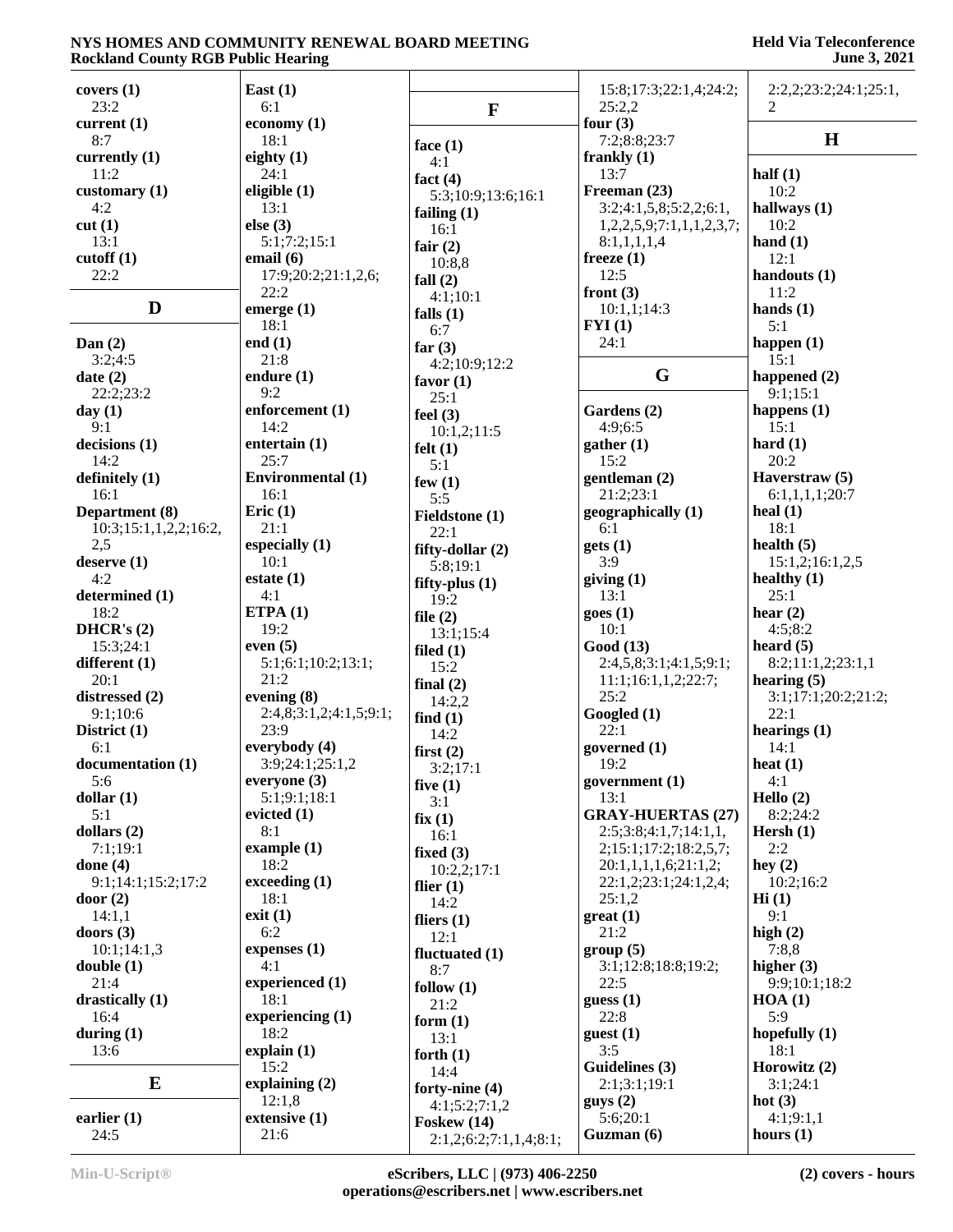| covers(1)<br>23:2          | East $(1)$<br>6:1                  | $\mathbf{F}$                    | 15:8;17:3;22:1,4;24:2;<br>25:2,2 | 2:2,2;23:2;24:1;25:1,<br>2 |
|----------------------------|------------------------------------|---------------------------------|----------------------------------|----------------------------|
| current $(1)$              | economy $(1)$                      |                                 | four $(3)$                       |                            |
| 8:7                        | 18:1                               | face $(1)$                      | 7:2;8:8;23:7                     | $\mathbf H$                |
| currently $(1)$            | eighty $(1)$                       | 4:1                             | frankly $(1)$                    |                            |
| 11:2                       | 24:1                               | fact $(4)$                      | 13:7                             | half $(1)$                 |
| customary $(1)$            | eligible $(1)$                     | 5:3;10:9;13:6;16:1              | Freeman (23)                     | 10:2                       |
| 4:2                        | 13:1                               | failing $(1)$                   | 3:2;4:1,5,8;5:2,2;6:1,           | hallways $(1)$             |
| cut(1)                     | else (3)                           | 16:1                            | 1,2,2,5,9;7:1,1,1,2,3,7;         | 10:2                       |
| 13:1                       | 5:1;7:2;15:1                       | fair $(2)$                      | 8:1,1,1,1,4                      | hand $(1)$<br>12:1         |
| $\text{cutoff}(1)$<br>22:2 | email $(6)$<br>17:9;20:2;21:1,2,6; | 10:8,8                          | freeze $(1)$<br>12:5             | handouts (1)               |
|                            | 22:2                               | fall $(2)$                      | front $(3)$                      | 11:2                       |
| D                          | emerge $(1)$                       | 4:1;10:1<br>falls $(1)$         | 10:1,1;14:3                      | hands $(1)$                |
|                            | 18:1                               | 6:7                             | FYI(1)                           | 5:1                        |
| Dan $(2)$                  | end $(1)$                          | far $(3)$                       | 24:1                             | happen $(1)$               |
| 3:2;4:5                    | 21:8                               | 4:2;10:9;12:2                   |                                  | 15:1                       |
| date(2)                    | endure $(1)$                       | favor $(1)$                     | G                                | happened (2)               |
| 22:2;23:2                  | 9:2                                | 25:1                            |                                  | 9:1;15:1                   |
| day $(1)$<br>9:1           | enforcement (1)<br>14:2            | feel $(3)$                      | Gardens (2)<br>4:9:6:5           | happens $(1)$<br>15:1      |
| decisions(1)               | entertain (1)                      | 10:1,2;11:5                     | gather (1)                       | hard $(1)$                 |
| 14:2                       | 25:7                               | felt $(1)$<br>5:1               | 15:2                             | 20:2                       |
| definitely $(1)$           | <b>Environmental</b> (1)           | few $(1)$                       | gentleman (2)                    | Haverstraw (5)             |
| 16:1                       | 16:1                               | 5:5                             | 21:2;23:1                        | 6:1,1,1,1;20:7             |
| Department (8)             | Eric $(1)$                         | Fieldstone (1)                  | geographically (1)               | heal $(1)$                 |
| 10:3;15:1,1,2,2;16:2,      | 21:1                               | 22:1                            | 6:1                              | 18:1                       |
| 2,5                        | especially $(1)$                   | fifty-dollar $(2)$              | gets(1)                          | health $(5)$               |
| degree(1)<br>4:2           | 10:1                               | 5:8;19:1                        | 3:9                              | 15:1,2;16:1,2,5            |
| determined (1)             | estate $(1)$<br>4:1                | fifty-plus $(1)$                | giving $(1)$<br>13:1             | healthy $(1)$<br>25:1      |
| 18:2                       | ETPA(1)                            | 19:2                            | goes(1)                          | hear $(2)$                 |
| DHCR's $(2)$               | 19:2                               | file $(2)$<br>13:1;15:4         | 10:1                             | 4:5;8:2                    |
| 15:3;24:1                  | even $(5)$                         | filed $(1)$                     | Good (13)                        | heard $(5)$                |
| different $(1)$            | 5:1;6:1;10:2;13:1;                 | 15:2                            | 2:4,5,8;3:1;4:1,5;9:1;           | 8:2;11:1,2;23:1,1          |
| 20:1                       | 21:2                               | final $(2)$                     | 11:1;16:1,1,2;22:7;              | hearing $(5)$              |
| distressed (2)             | evening $(8)$                      | 14:2,2                          | 25:2                             | 3:1;17:1;20:2;21:2;        |
| 9:1;10:6                   | 2:4,8;3:1,2;4:1,5;9:1;             | find $(1)$                      | Googled (1)                      | 22:1                       |
| District $(1)$<br>6:1      | 23:9<br>everybody (4)              | 14:2                            | 22:1<br>governed (1)             | hearings $(1)$             |
| documentation (1)          | 3:9;24:1;25:1,2                    | first $(2)$                     | 19:2                             | 14:1<br>heat $(1)$         |
| 5:6                        | everyone $(3)$                     | 3:2;17:1                        | government $(1)$                 | 4:1                        |
| dollar(1)                  | 5:1;9:1;18:1                       | five $(1)$<br>3:1               | 13:1                             | Hello $(2)$                |
| 5:1                        | evicted $(1)$                      | fix(1)                          | <b>GRAY-HUERTAS (27)</b>         | 8:2;24:2                   |
| dollars $(2)$              | 8:1                                | 16:1                            | 2:5;3:8;4:1,7;14:1,1,            | Hersh $(1)$                |
| 7:1;19:1                   | example $(1)$                      | fixed $(3)$                     | 2;15:1;17:2;18:2,5,7;            | 2:2                        |
| done $(4)$                 | 18:2                               | 10:2,2;17:1                     | 20:1,1,1,1,6;21:1,2;             | hey $(2)$                  |
| 9:1;14:1;15:2;17:2         | exceeding (1)<br>18:1              | flier $(1)$                     | 22:1,2;23:1;24:1,2,4;            | 10:2;16:2                  |
| door $(2)$<br>14:1,1       | exit(1)                            | 14:2                            | 25:1,2<br>$gr(1)$                | $\mathbf{Hi}$ (1)<br>9:1   |
| doors $(3)$                | 6:2                                | fliers $(1)$<br>12:1            | 21:2                             | high $(2)$                 |
| 10:1;14:1,3                | expenses (1)                       | fluctuated (1)                  | group(5)                         | 7:8,8                      |
| double(1)                  | 4:1                                | 8:7                             | 3:1;12:8;18:8;19:2;              | higher $(3)$               |
| 21:4                       | experienced (1)                    | follow $(1)$                    | 22:5                             | 9:9;10:1;18:2              |
| drastically $(1)$          | 18:1                               | 21:2                            | guess(1)                         | HOA(1)                     |
| 16:4                       | experiencing $(1)$                 | form $(1)$                      | 22:8                             | 5:9                        |
| during $(1)$               | 18:2<br>explain(1)                 | 13:1                            | guest(1)<br>3:5                  | hopefully $(1)$            |
| 13:6                       | 15:2                               | forth $(1)$                     | Guidelines (3)                   | 18:1<br>Horowitz (2)       |
| E                          | explaining $(2)$                   | 14:4                            | 2:1;3:1;19:1                     | 3:1;24:1                   |
|                            | 12:1,8                             | forty-nine (4)<br>4:1;5:2;7:1,2 | gays(2)                          | hot $(3)$                  |
| earlier $(1)$              | extensive (1)                      | Foskew $(14)$                   | 5:6;20:1                         | 4:1;9:1,1                  |
| 24:5                       | 21:6                               | 2:1,2;6:2;7:1,1,4;8:1;          | Guzman (6)                       | hours $(1)$                |
|                            |                                    |                                 |                                  |                            |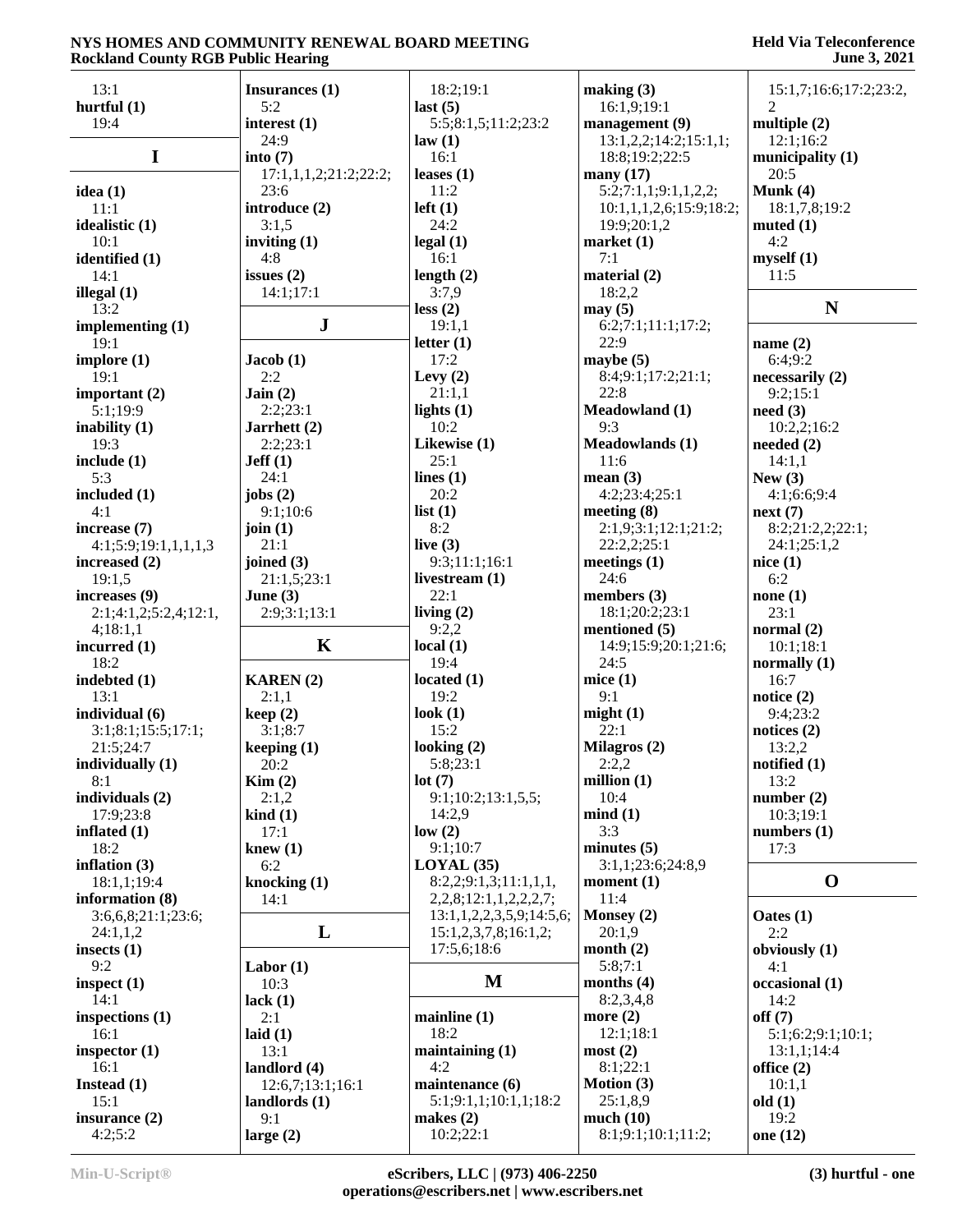#### **Held Via Teleconference June 3, 2021**

| 13:1                  | Insurances (1)           | 18:2;19:1                        | making $(3)$            | 15:1,7;16:6;17:2;23:2, |
|-----------------------|--------------------------|----------------------------------|-------------------------|------------------------|
| hurtful $(1)$         | 5:2                      | last $(5)$                       | 16:1,9;19:1             |                        |
| 19:4                  | interest $(1)$           | 5:5;8:1,5;11:2;23:2              | management (9)          | multiple $(2)$         |
|                       | 24:9                     | law(1)                           | 13:1,2,2;14:2;15:1,1;   | 12:1;16:2              |
| $\mathbf I$           | into $(7)$               | 16:1                             | 18:8;19:2;22:5          | municipality (1)       |
|                       | 17:1,1,1,2;21:2;22:2;    | leases $(1)$                     | many $(17)$             | 20:5                   |
| idea $(1)$            | 23:6                     | 11:2                             | 5:2;7:1,1;9:1,1,2,2;    | Munk (4)               |
| 11:1                  | introduce (2)            | $left(1\right)$                  | 10:1,1,1,2,6;15:9;18:2; | 18:1,7,8;19:2          |
| idealistic (1)        | 3:1,5                    | 24:2                             | 19:9;20:1,2             | muted $(1)$            |
| 10:1                  | inviting $(1)$           | legal(1)                         | market(1)               | 4:2                    |
| identified (1)        | 4:8                      | 16:1                             | 7:1                     | myself(1)              |
| 14:1                  | issues $(2)$             | length $(2)$                     | material (2)            | 11:5                   |
| illegal $(1)$         | 14:1;17:1                | 3:7,9                            | 18:2,2                  |                        |
| 13:2                  |                          |                                  |                         | ${\bf N}$              |
|                       |                          | less(2)                          | may(5)                  |                        |
| implementing (1)      | ${\bf J}$                | 19:1,1                           | 6:2;7:1;11:1;17:2;      |                        |
| 19:1                  |                          | letter $(1)$                     | 22:9                    | name $(2)$             |
| implore $(1)$         | Jacob(1)                 | 17:2                             | maybe $(5)$             | 6:4;9:2                |
| 19:1                  | 2:2                      | Levy $(2)$                       | 8:4;9:1;17:2;21:1;      | necessarily (2)        |
| important $(2)$       | Jain(2)                  | 21:1,1                           | 22:8                    | 9:2;15:1               |
| 5:1;19:9              | 2:2;23:1                 | lights $(1)$                     | <b>Meadowland</b> (1)   | need(3)                |
| inability $(1)$       | Jarrhett (2)             | 10:2                             | 9:3                     | 10:2,2;16:2            |
| 19:3                  | 2:2;23:1                 | Likewise (1)                     | <b>Meadowlands</b> (1)  | needed $(2)$           |
| include (1)           | Jeff(1)                  | 25:1                             | 11:6                    | 14:1,1                 |
| 5:3                   | 24:1                     | lines $(1)$                      | mean $(3)$              | New $(3)$              |
| included $(1)$        | jobs $(2)$               | 20:2                             | 4:2;23:4;25:1           | 4:1;6:6;9:4            |
| 4:1                   | 9:1;10:6                 | list $(1)$                       | meeting $(8)$           | next(7)                |
| increase (7)          | join $(1)$               | 8:2                              | 2:1,9;3:1;12:1;21:2;    | 8:2;21:2,2;22:1;       |
| 4:1;5:9;19:1,1,1,1,3  | 21:1                     | live $(3)$                       | 22:2,2;25:1             | 24:1;25:1,2            |
| increased (2)         | joined $(3)$             | 9:3;11:1;16:1                    |                         | nice(1)                |
|                       |                          |                                  | meetings $(1)$          |                        |
| 19:1,5                | 21:1,5;23:1              | livestream $(1)$                 | 24:6                    | 6:2                    |
| increases (9)         | June $(3)$               | 22:1                             | members $(3)$           | none(1)                |
| 2:1;4:1,2;5:2,4;12:1, | 2:9;3:1;13:1             | living $(2)$                     | 18:1;20:2;23:1          | 23:1                   |
| 4;18:1,1              |                          | 9:2,2                            | mentioned (5)           | normal $(2)$           |
| incurred $(1)$        | $\mathbf K$              | local(1)                         | 14:9;15:9;20:1;21:6;    | 10:1;18:1              |
| 18:2                  |                          | 19:4                             | 24:5                    | normally $(1)$         |
| indebted (1)          | <b>KAREN</b> (2)         | located $(1)$                    | mice $(1)$              | 16:7                   |
| 13:1                  | 2:1,1                    | 19:2                             | 9:1                     | notice $(2)$           |
| individual (6)        | keep(2)                  | look $(1)$                       | might(1)                | 9:4;23:2               |
| 3:1;8:1;15:5;17:1;    | 3:1;8:7                  | 15:2                             | 22:1                    | notices $(2)$          |
| 21:5;24:7             | keeping $(1)$            | looking $(2)$                    | Milagros (2)            | 13:2,2                 |
| individually (1)      | 20:2                     | 5:8;23:1                         | 2:2,2                   | notified (1)           |
| 8:1                   | Kim(2)                   | lot(7)                           | million $(1)$           | 13:2                   |
| individuals (2)       | 2:1,2                    | 9:1;10:2;13:1,5,5;               | 10:4                    | number(2)              |
| 17:9;23:8             |                          |                                  |                         |                        |
|                       | $\operatorname{kind}(1)$ | 14:2,9                           | mind(1)                 | 10:3;19:1              |
| inflated $(1)$        | 17:1                     | low(2)                           | 3:3                     | numbers $(1)$          |
| 18:2                  | knew $(1)$               | 9:1;10:7                         | minutes $(5)$           | 17:3                   |
| inflation (3)         | 6:2                      | $LOYAL$ (35)                     | 3:1,1;23:6;24:8,9       |                        |
| 18:1,1;19:4           | knocking $(1)$           | 8:2,2;9:1,3;11:1,1,1,            | moment $(1)$            | $\mathbf 0$            |
| information (8)       | 14:1                     | 2,2,8;12:1,1,2,2,2,7;            | 11:4                    |                        |
| 3:6,6,8;21:1;23:6;    |                          | 13:1, 1, 2, 2, 3, 5, 9; 14:5, 6; | Monsey $(2)$            | Oates (1)              |
| 24:1,1,2              | L                        | 15:1,2,3,7,8;16:1,2;             | 20:1,9                  | 2:2                    |
| insects $(1)$         |                          | 17:5,6;18:6                      | month $(2)$             | obviously $(1)$        |
| 9:2                   | Labor $(1)$              |                                  | 5:8;7:1                 | 4:1                    |
| inspect (1)           | 10:3                     | $\mathbf M$                      | months $(4)$            | occasional (1)         |
| 14:1                  | lack $(1)$               |                                  | 8:2,3,4,8               | 14:2                   |
| inspections $(1)$     | 2:1                      | mainline $(1)$                   | more $(2)$              | off(7)                 |
| 16:1                  | laid $(1)$               | 18:2                             | 12:1;18:1               | 5:1;6:2;9:1;10:1;      |
| inspector (1)         | 13:1                     | maintaining $(1)$                | most(2)                 | 13:1,1;14:4            |
|                       |                          | 4:2                              | 8:1;22:1                |                        |
| 16:1                  | landlord (4)             |                                  |                         | office $(2)$           |
| Instead $(1)$         | 12:6,7;13:1;16:1         | maintenance (6)                  | Motion (3)              | 10:1,1                 |
| 15:1                  | landlords (1)            | 5:1;9:1,1;10:1,1;18:2            | 25:1,8,9                | old(1)                 |
| insurance (2)         | 9:1                      | makes $(2)$                      | much $(10)$             | 19:2                   |
| 4:2;5:2               | large $(2)$              | 10:2;22:1                        | 8:1;9:1;10:1;11:2;      | one (12)               |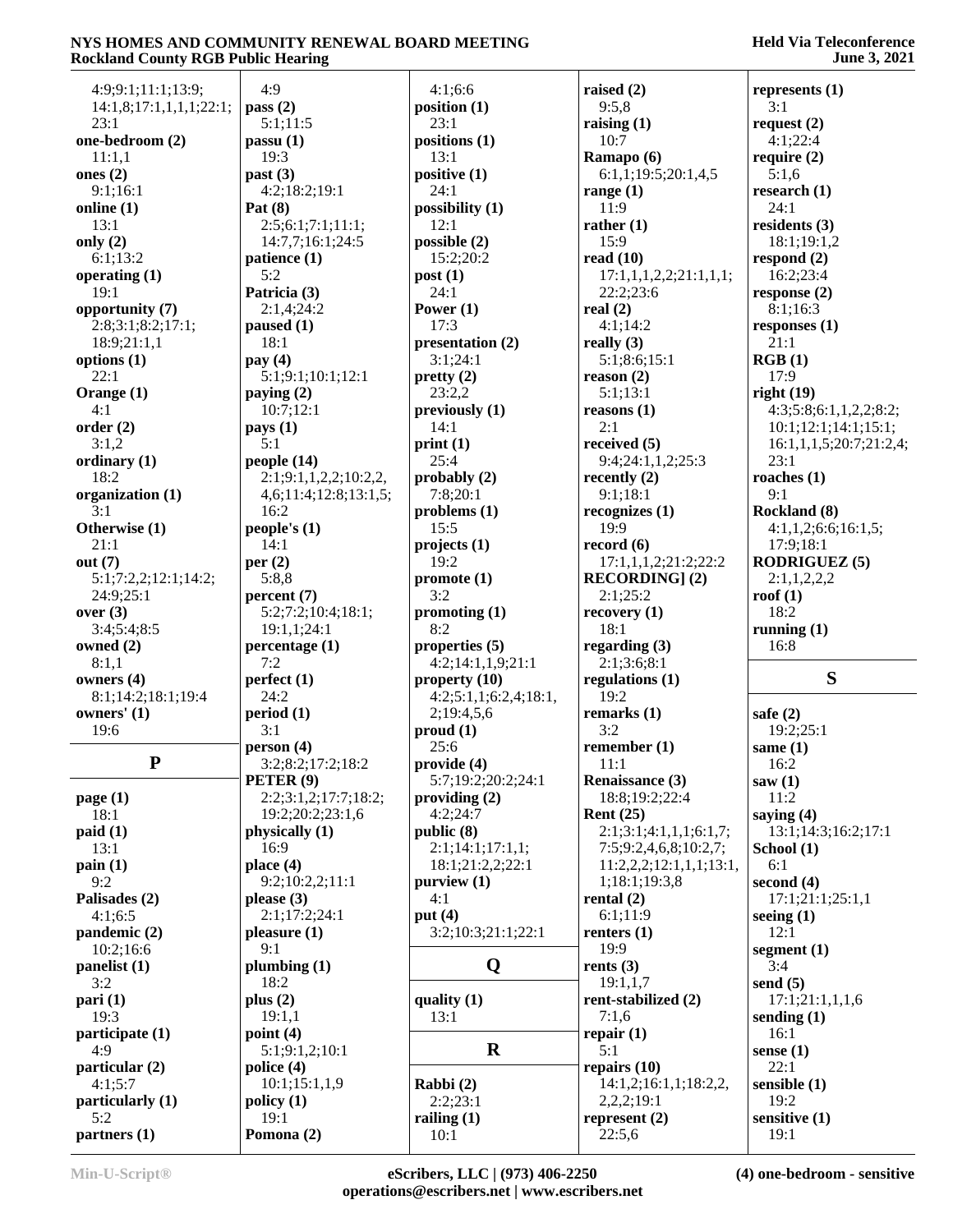|                         | 4:9                          | 4:1;6:6                       |                                          |                                     |
|-------------------------|------------------------------|-------------------------------|------------------------------------------|-------------------------------------|
| 4:9;9:1;11:1;13:9;      |                              |                               | raised $(2)$<br>9:5,8                    | represents $(1)$<br>3:1             |
| 14:1,8;17:1,1,1,1;22:1; | pass $(2)$                   | position (1)                  |                                          |                                     |
| 23:1                    | 5:1;11:5                     | 23:1                          | raising $(1)$                            | request $(2)$                       |
| one-bedroom (2)         | passu(1)                     | positions (1)                 | 10:7                                     | 4:1;22:4                            |
| 11:1,1                  | 19:3                         | 13:1                          | Ramapo (6)                               | require $(2)$                       |
| ones $(2)$              | past $(3)$                   | positive (1)                  | 6:1,1;19:5;20:1,4,5                      | 5:1,6                               |
| 9:1;16:1                | 4:2;18:2;19:1                | 24:1                          | range $(1)$                              | research $(1)$                      |
| online (1)              | Pat $(8)$                    | possibility (1)               | 11:9                                     | 24:1                                |
| 13:1                    | 2:5;6:1;7:1;11:1;            | 12:1                          | rather $(1)$                             | residents $(3)$                     |
| only $(2)$              | 14:7,7;16:1;24:5             | possible (2)                  | 15:9                                     | 18:1;19:1,2                         |
| 6:1;13:2                | patience (1)                 | 15:2;20:2                     | read $(10)$                              | respond $(2)$                       |
| operating $(1)$         | 5:2                          | post(1)                       | 17:1,1,1,2,2;21:1,1,1;                   | 16:2;23:4                           |
| 19:1                    | Patricia (3)                 | 24:1                          | 22:2;23:6                                | response $(2)$                      |
| opportunity (7)         | 2:1,4;24:2                   | Power $(1)$                   | real $(2)$                               | 8:1;16:3                            |
| 2:8;3:1;8:2;17:1;       | paused (1)                   | 17:3                          | 4:1;14:2                                 | responses $(1)$                     |
| 18:9;21:1,1             | 18:1                         | presentation (2)              | really $(3)$                             | 21:1                                |
| options (1)             | pay $(4)$                    | 3:1;24:1                      | 5:1;8:6;15:1                             | RGB(1)                              |
| 22:1                    | 5:1;9:1;10:1;12:1            | pretty $(2)$                  | reason (2)                               | 17:9                                |
| Orange (1)              | paying $(2)$                 | 23:2,2                        | 5:1;13:1                                 | right(19)                           |
| 4:1                     | 10:7;12:1                    | previously $(1)$              | reasons $(1)$                            | 4:3;5:8;6:1,1,2,2;8:2;              |
| order(2)                | pays (1)                     | 14:1                          | 2:1                                      | 10:1;12:1;14:1;15:1;                |
| 3:1,2                   | 5:1                          | print(1)                      | received $(5)$                           | 16:1,1,1,5;20:7;21:2,4;             |
| ordinary $(1)$          | people $(14)$                | 25:4                          | 9:4;24:1,1,2;25:3                        | 23:1                                |
| 18:2                    | 2:1;9:1,1,2,2;10:2,2,        | probably $(2)$                | recently $(2)$                           | roaches $(1)$                       |
| organization (1)        | 4,6;11:4;12:8;13:1,5;        | 7:8;20:1                      | 9:1;18:1                                 | 9:1                                 |
| 3:1                     | 16:2                         | problems $(1)$                | recognizes $(1)$                         | Rockland (8)                        |
| Otherwise (1)           | people's $(1)$               | 15:5                          | 19:9                                     | 4:1,1,2;6:6;16:1,5;                 |
| 21:1                    | 14:1                         | projects(1)                   | record(6)                                | 17:9;18:1                           |
| out $(7)$               | per $(2)$                    | 19:2                          | 17:1,1,1,2;21:2;22:2                     | <b>RODRIGUEZ (5)</b>                |
| 5:1;7:2,2;12:1;14:2;    | 5:8,8                        | promote(1)                    | <b>RECORDING</b> ] (2)                   | 2:1,1,2,2,2                         |
| 24:9;25:1               | percent(7)                   | 3:2                           | 2:1;25:2                                 | roof $(1)$                          |
| over $(3)$              | 5:2;7:2;10:4;18:1;           | promoting $(1)$               | recovery(1)                              | 18:2                                |
| 3:4;5:4;8:5             | 19:1,1;24:1                  | 8:2                           | 18:1                                     | running $(1)$                       |
| owned $(2)$             | percentage (1)               | properties (5)                | regarding $(3)$                          | 16:8                                |
| 8:1,1                   | 7:2                          | 4:2;14:1,1,9;21:1             | 2:1;3:6;8:1                              |                                     |
| owners (4)              | perfect (1)                  | property $(10)$               | regulations (1)                          | S                                   |
| 8:1;14:2;18:1;19:4      | 24:2                         | 4:2;5:1,1;6:2,4;18:1,         | 19:2                                     |                                     |
| owners' $(1)$           | period(1)                    | 2;19:4,5,6                    | remarks $(1)$                            | safe $(2)$                          |
| 19:6                    | 3:1                          | prod(1)                       | 3:2                                      | 19:2;25:1                           |
|                         | person (4)                   | 25:6                          | remember $(1)$                           | same $(1)$                          |
| ${\bf P}$               | 3:2;8:2;17:2;18:2            | provide (4)                   | 11:1                                     | 16:2                                |
|                         | PETER <sup>(9)</sup>         | 5:7;19:2;20:2;24:1            | Renaissance (3)                          | saw $(1)$                           |
| page $(1)$              | 2:2;3:1,2;17:7;18:2;         | providing $(2)$               | 18:8;19:2;22:4                           | 11:2                                |
| 18:1                    | 19:2;20:2;23:1,6             | 4:2;24:7                      | Rent $(25)$                              |                                     |
| paid(1)                 |                              | public (8)                    | 2:1;3:1;4:1,1,1;6:1,7;                   | saying $(4)$<br>13:1;14:3;16:2;17:1 |
| 13:1                    | physically (1)<br>16:9       | 2:1;14:1;17:1,1;              | 7:5;9:2,4,6,8;10:2,7;                    | School (1)                          |
|                         |                              |                               |                                          |                                     |
| $\text{pain}(1)$<br>9:2 | place (4)<br>9:2;10:2,2;11:1 | 18:1;21:2,2;22:1<br>purity(1) | 11:2,2,2;12:1,1,1;13:1,<br>1;18:1;19:3,8 | 6:1<br>second $(4)$                 |
| Palisades (2)           | please $(3)$                 | 4:1                           | rental $(2)$                             |                                     |
|                         | 2:1;17:2;24:1                | put $(4)$                     | 6:1;11:9                                 | 17:1;21:1;25:1,1                    |
| 4:1;6:5                 |                              |                               |                                          | seeing $(1)$                        |
| pandemic (2)            | pleasure(1)                  | 3:2;10:3;21:1;22:1            | renters $(1)$                            | 12:1                                |
| 10:2;16:6               | 9:1                          |                               | 19:9                                     | segment $(1)$                       |
| panelist (1)            | plumbing $(1)$               | Q                             | rents $(3)$                              | 3:4                                 |
| 3:2                     | 18:2                         |                               | 19:1,1,7                                 | send $(5)$                          |
| $\frac{\pi i}{1}$       | plus $(2)$                   | quality (1)                   | rent-stabilized (2)                      | 17:1;21:1,1,1,6                     |
| 19:3                    | 19:1,1                       | 13:1                          | 7:1,6                                    | sending $(1)$                       |
| participate (1)         | point $(4)$                  |                               | repair $(1)$                             | 16:1                                |
| 4:9                     | 5:1;9:1,2;10:1               | $\mathbf R$                   | 5:1                                      | sense $(1)$                         |
| particular (2)          | police $(4)$                 |                               | repairs $(10)$                           | 22:1                                |
|                         |                              |                               |                                          |                                     |
| 4:1;5:7                 | 10:1;15:1,1,9                | Rabbi (2)                     | 14:1,2;16:1,1;18:2,2,                    | sensible $(1)$                      |
| particularly (1)        | policy(1)                    | 2:2;23:1                      | 2,2,2;19:1                               | 19:2                                |
| 5:2<br>partners (1)     | 19:1<br>Pomona (2)           | railing $(1)$<br>10:1         | represent (2)<br>22:5,6                  | sensitive (1)<br>19:1               |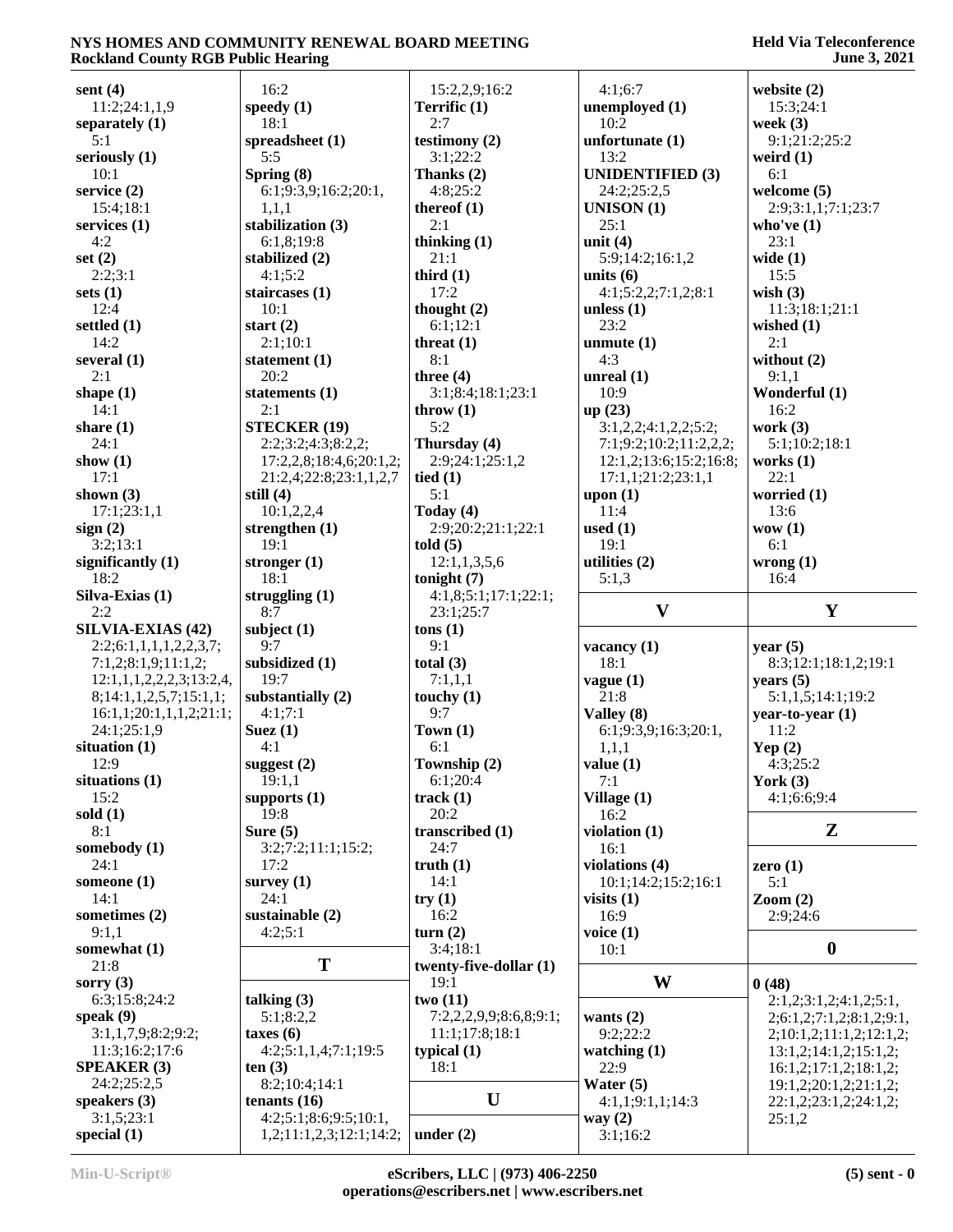|                             | 16:2                                             |                          |                         |                                |
|-----------------------------|--------------------------------------------------|--------------------------|-------------------------|--------------------------------|
| sent $(4)$<br>11:2;24:1,1,9 |                                                  | 15:2,2,9;16:2            | 4:1;6:7                 | website $(2)$<br>15:3;24:1     |
|                             | speedy $(1)$<br>18:1                             | Terrific (1)<br>2:7      | unemployed (1)<br>10:2  | week $(3)$                     |
| separately $(1)$<br>5:1     |                                                  | testimony $(2)$          | unfortunate (1)         | 9:1;21:2;25:2                  |
| seriously (1)               | spreadsheet (1)<br>5:5                           | 3:1;22:2                 | 13:2                    | weird $(1)$                    |
| 10:1                        | Spring (8)                                       | Thanks (2)               | <b>UNIDENTIFIED (3)</b> | 6:1                            |
| service $(2)$               | 6:1;9:3,9;16:2;20:1,                             | 4:8;25:2                 | 24:2;25:2,5             | welcome $(5)$                  |
| 15:4;18:1                   | 1,1,1                                            | thereof $(1)$            | UNISON (1)              | 2:9;3:1,1;7:1;23:7             |
| services $(1)$              | stabilization (3)                                | 2:1                      | 25:1                    | who've $(1)$                   |
| 4:2                         | 6:1,8;19:8                                       | thinking $(1)$           | unit $(4)$              | 23:1                           |
| set $(2)$                   | stabilized (2)                                   | 21:1                     | 5:9;14:2;16:1,2         | wide $(1)$                     |
| 2:2:3:1                     | 4:1;5:2                                          | third $(1)$              | units $(6)$             | 15:5                           |
| sets $(1)$                  | staircases $(1)$                                 | 17:2                     | 4:1;5:2,2;7:1,2;8:1     | wish $(3)$                     |
| 12:4                        | 10:1                                             | thought $(2)$            | unless $(1)$            | 11:3;18:1;21:1                 |
| settled $(1)$               | start $(2)$                                      | 6:1;12:1                 | 23:2                    | wished $(1)$                   |
| 14:2                        | 2:1;10:1                                         | threat $(1)$             | unmute $(1)$            | 2:1                            |
| several $(1)$               | statement (1)                                    | 8:1                      | 4:3                     | without (2)                    |
| 2:1                         | 20:2                                             | three $(4)$              | unreal (1)              | 9:1,1                          |
| shape $(1)$                 | statements (1)                                   | 3:1;8:4;18:1;23:1        | 10:9                    | Wonderful (1)                  |
| 14:1                        | 2:1                                              | throw $(1)$              | up(23)                  | 16:2                           |
| share $(1)$                 | <b>STECKER (19)</b>                              | 5:2                      | 3:1,2,2;4:1,2,2;5:2;    | work $(3)$                     |
| 24:1                        | 2:2;3:2;4:3;8:2,2;                               | Thursday (4)             | 7:1;9:2;10:2;11:2,2,2;  | 5:1;10:2;18:1                  |
| show $(1)$                  | 17:2,2,8;18:4,6;20:1,2;                          | 2:9;24:1;25:1,2          | 12:1,2;13:6;15:2;16:8;  | works $(1)$                    |
| 17:1                        | 21:2,4;22:8;23:1,1,2,7                           | tied $(1)$               | 17:1,1;21:2;23:1,1      | 22:1                           |
| shown $(3)$                 | still $(4)$                                      | 5:1                      | upon $(1)$              | worried (1)                    |
| 17:1;23:1,1                 | 10:1,2,2,4                                       | Today $(4)$              | 11:4                    | 13:6                           |
| sign(2)                     | strengthen (1)                                   | 2:9;20:2;21:1;22:1       | used $(1)$              | wow(1)                         |
| 3:2;13:1                    | 19:1                                             | told $(5)$               | 19:1                    | 6:1                            |
| significantly $(1)$         | stronger $(1)$                                   | 12:1,1,3,5,6             | utilities (2)           | wrong(1)                       |
| 18:2                        | 18:1                                             | tonight $(7)$            | 5:1,3                   | 16:4                           |
| Silva-Exias (1)             | struggling $(1)$                                 | 4:1,8;5:1;17:1;22:1;     |                         |                                |
| 2:2                         | 8:7                                              | 23:1;25:7                | $\mathbf{V}$            | Y                              |
|                             | subject $(1)$                                    |                          |                         |                                |
|                             |                                                  |                          |                         |                                |
| SILVIA-EXIAS (42)           |                                                  | tons(1)                  |                         |                                |
| 2:2;6:1,1,1,1,2,2,3,7;      | 9:7                                              | 9:1                      | vacancy $(1)$           | year $(5)$                     |
| 7:1,2;8:1,9;11:1,2;         | subsidized (1)<br>19:7                           | total $(3)$              | 18:1                    | 8:3;12:1;18:1,2;19:1           |
| 12:1,1,1,2,2,2,3;13:2,4,    |                                                  | 7:1,1,1                  | vague $(1)$             | years $(5)$                    |
| 8;14:1,1,2,5,7;15:1,1;      | substantially (2)                                | touchy $(1)$<br>9:7      | 21:8                    | 5:1,1,5;14:1;19:2              |
| 16:1,1;20:1,1,1,2;21:1;     | 4:1;7:1                                          |                          | Valley (8)              | year-to-year $(1)$<br>11:2     |
| 24:1;25:1,9                 | Suez $(1)$<br>4:1                                | Town $(1)$<br>6:1        | 6:1;9:3,9;16:3;20:1,    |                                |
| situation $(1)$<br>12:9     |                                                  |                          | 1,1,1                   | Yep $(2)$<br>4:3:25:2          |
| situations $(1)$            | suggest $(2)$<br>19:1,1                          | Township (2)<br>6:1;20:4 | value(1)<br>7:1         |                                |
| 15:2                        | supports $(1)$                                   | track $(1)$              |                         | York $(3)$<br>4:1;6:6;9:4      |
| sold(1)                     | 19:8                                             | 20:2                     | Village $(1)$<br>16:2   |                                |
| 8:1                         | Sure $(5)$                                       | transcribed (1)          | violation (1)           | ${\bf z}$                      |
| somebody (1)                | 3:2;7:2;11:1;15:2;                               | 24:7                     | 16:1                    |                                |
| 24:1                        | 17:2                                             | truth $(1)$              | violations (4)          | zero $(1)$                     |
| someone $(1)$               | survey $(1)$                                     | 14:1                     | 10:1;14:2;15:2;16:1     | 5:1                            |
| 14:1                        | 24:1                                             | try(1)                   | visits $(1)$            | $\mathrm{Zoom}\left( 2\right)$ |
| sometimes $(2)$             | sustainable (2)                                  | 16:2                     | 16:9                    | 2:9;24:6                       |
| 9:1,1                       | 4:2;5:1                                          | turn(2)                  | voice $(1)$             |                                |
| somewhat (1)                |                                                  | 3:4;18:1                 | 10:1                    | $\boldsymbol{0}$               |
| 21:8                        | T                                                | twenty-five-dollar (1)   |                         |                                |
| sorry $(3)$                 |                                                  | 19:1                     | W                       | 0(48)                          |
| 6:3;15:8;24:2               | talking $(3)$                                    | two(11)                  |                         | 2:1,2;3:1,2;4:1,2;5:1,         |
| speak $(9)$                 | 5:1;8:2,2                                        | 7:2,2,2,9,9;8:6,8;9:1;   | wants $(2)$             | 2;6:1,2;7:1,2;8:1,2;9:1,       |
| 3:1,1,7,9;8:2;9:2;          | $\frac{1}{2}$ taxes (6)                          | 11:1;17:8;18:1           | 9:2;22:2                | 2;10:1,2;11:1,2;12:1,2;        |
| 11:3;16:2;17:6              | 4:2;5:1,1,4;7:1;19:5                             | typical $(1)$            | watching $(1)$          | 13:1,2;14:1,2;15:1,2;          |
| <b>SPEAKER (3)</b>          | ten(3)                                           | 18:1                     | 22:9                    | 16:1,2;17:1,2;18:1,2;          |
| 24:2;25:2,5                 | 8:2;10:4;14:1                                    |                          | Water $(5)$             | 19:1,2;20:1,2;21:1,2;          |
| speakers $(3)$              | tenants $(16)$                                   | U                        | 4:1,1;9:1,1;14:3        | 22:1,2;23:1,2;24:1,2;          |
| 3:1,5;23:1<br>special $(1)$ | 4:2;5:1;8:6;9:5;10:1,<br>1,2;11:1,2,3;12:1;14:2; | under $(2)$              | way $(2)$<br>3:1;16:2   | 25:1,2                         |